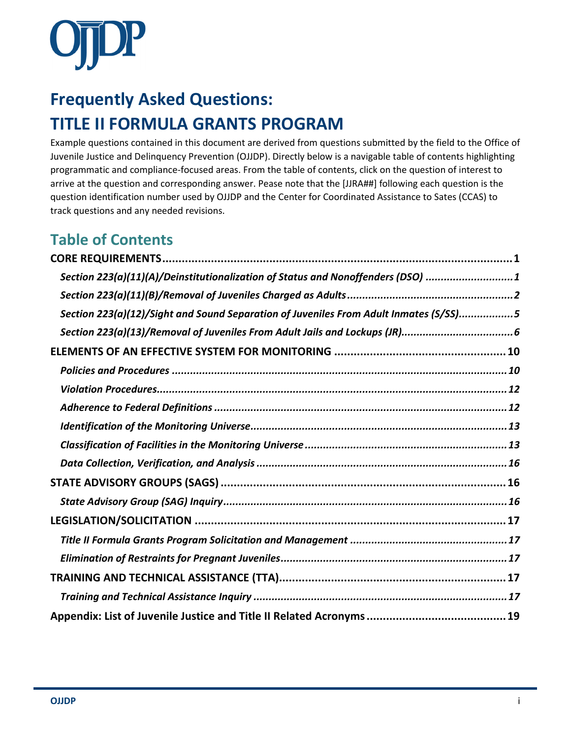

# **Frequently Asked Questions: TITLE II FORMULA GRANTS PROGRAM**

Example questions contained in this document are derived from questions submitted by the field to the Office of Juvenile Justice and Delinquency Prevention (OJJDP). Directly below is a navigable table of contents highlighting programmatic and compliance-focused areas. From the table of contents, click on the question of interest to arrive at the question and corresponding answer. Pease note that the [JJRA##] following each question is the question identification number used by OJJDP and the Center for Coordinated Assistance to Sates (CCAS) to track questions and any needed revisions.

### **Table of Contents**

| Section 223(a)(11)(A)/Deinstitutionalization of Status and Nonoffenders (DSO) 1       |  |
|---------------------------------------------------------------------------------------|--|
|                                                                                       |  |
| Section 223(a)(12)/Sight and Sound Separation of Juveniles From Adult Inmates (S/SS)5 |  |
|                                                                                       |  |
|                                                                                       |  |
|                                                                                       |  |
|                                                                                       |  |
|                                                                                       |  |
|                                                                                       |  |
|                                                                                       |  |
|                                                                                       |  |
|                                                                                       |  |
|                                                                                       |  |
|                                                                                       |  |
|                                                                                       |  |
|                                                                                       |  |
|                                                                                       |  |
|                                                                                       |  |
|                                                                                       |  |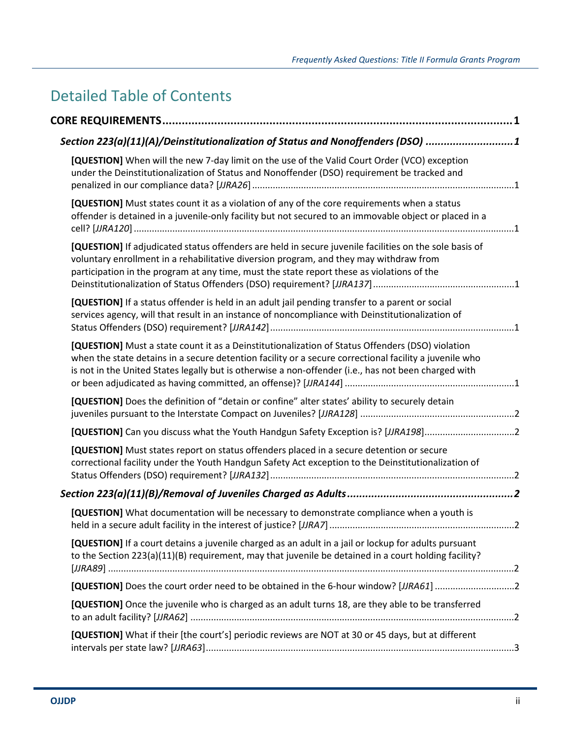## Detailed Table of Contents

| Section 223(a)(11)(A)/Deinstitutionalization of Status and Nonoffenders (DSO) 1                                                                                                                                                                                                                                    |  |
|--------------------------------------------------------------------------------------------------------------------------------------------------------------------------------------------------------------------------------------------------------------------------------------------------------------------|--|
| [QUESTION] When will the new 7-day limit on the use of the Valid Court Order (VCO) exception<br>under the Deinstitutionalization of Status and Nonoffender (DSO) requirement be tracked and                                                                                                                        |  |
| [QUESTION] Must states count it as a violation of any of the core requirements when a status<br>offender is detained in a juvenile-only facility but not secured to an immovable object or placed in a                                                                                                             |  |
| [QUESTION] If adjudicated status offenders are held in secure juvenile facilities on the sole basis of<br>voluntary enrollment in a rehabilitative diversion program, and they may withdraw from<br>participation in the program at any time, must the state report these as violations of the                     |  |
| [QUESTION] If a status offender is held in an adult jail pending transfer to a parent or social<br>services agency, will that result in an instance of noncompliance with Deinstitutionalization of                                                                                                                |  |
| [QUESTION] Must a state count it as a Deinstitutionalization of Status Offenders (DSO) violation<br>when the state detains in a secure detention facility or a secure correctional facility a juvenile who<br>is not in the United States legally but is otherwise a non-offender (i.e., has not been charged with |  |
| [QUESTION] Does the definition of "detain or confine" alter states' ability to securely detain                                                                                                                                                                                                                     |  |
| [QUESTION] Can you discuss what the Youth Handgun Safety Exception is? [JJRA198]2                                                                                                                                                                                                                                  |  |
| [QUESTION] Must states report on status offenders placed in a secure detention or secure<br>correctional facility under the Youth Handgun Safety Act exception to the Deinstitutionalization of                                                                                                                    |  |
|                                                                                                                                                                                                                                                                                                                    |  |
| [QUESTION] What documentation will be necessary to demonstrate compliance when a youth is                                                                                                                                                                                                                          |  |
| [QUESTION] If a court detains a juvenile charged as an adult in a jail or lockup for adults pursuant<br>to the Section 223(a)(11)(B) requirement, may that juvenile be detained in a court holding facility?                                                                                                       |  |
|                                                                                                                                                                                                                                                                                                                    |  |
| [QUESTION] Once the juvenile who is charged as an adult turns 18, are they able to be transferred                                                                                                                                                                                                                  |  |
| [QUESTION] What if their [the court's] periodic reviews are NOT at 30 or 45 days, but at different                                                                                                                                                                                                                 |  |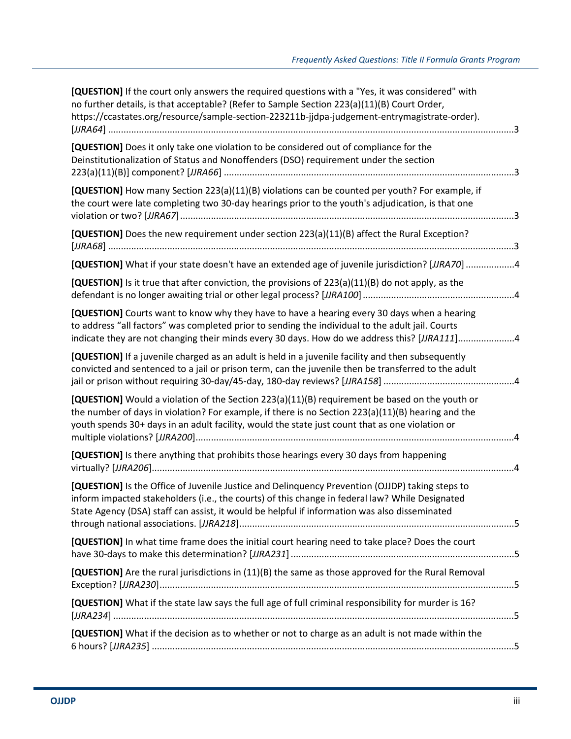| [QUESTION] If the court only answers the required questions with a "Yes, it was considered" with<br>no further details, is that acceptable? (Refer to Sample Section 223(a)(11)(B) Court Order,<br>https://ccastates.org/resource/sample-section-223211b-jjdpa-judgement-entrymagistrate-order).        |  |
|---------------------------------------------------------------------------------------------------------------------------------------------------------------------------------------------------------------------------------------------------------------------------------------------------------|--|
| [QUESTION] Does it only take one violation to be considered out of compliance for the<br>Deinstitutionalization of Status and Nonoffenders (DSO) requirement under the section                                                                                                                          |  |
| [QUESTION] How many Section 223(a)(11)(B) violations can be counted per youth? For example, if<br>the court were late completing two 30-day hearings prior to the youth's adjudication, is that one                                                                                                     |  |
| [QUESTION] Does the new requirement under section 223(a)(11)(B) affect the Rural Exception?                                                                                                                                                                                                             |  |
| [QUESTION] What if your state doesn't have an extended age of juvenile jurisdiction? [JJRA70] 4                                                                                                                                                                                                         |  |
| [QUESTION] Is it true that after conviction, the provisions of $223(a)(11)(B)$ do not apply, as the                                                                                                                                                                                                     |  |
| [QUESTION] Courts want to know why they have to have a hearing every 30 days when a hearing<br>to address "all factors" was completed prior to sending the individual to the adult jail. Courts<br>indicate they are not changing their minds every 30 days. How do we address this? [JJRA111]4         |  |
| [QUESTION] If a juvenile charged as an adult is held in a juvenile facility and then subsequently<br>convicted and sentenced to a jail or prison term, can the juvenile then be transferred to the adult                                                                                                |  |
| [QUESTION] Would a violation of the Section 223(a)(11)(B) requirement be based on the youth or<br>the number of days in violation? For example, if there is no Section 223(a)(11)(B) hearing and the<br>youth spends 30+ days in an adult facility, would the state just count that as one violation or |  |
| [QUESTION] Is there anything that prohibits those hearings every 30 days from happening                                                                                                                                                                                                                 |  |
| [QUESTION] Is the Office of Juvenile Justice and Delinquency Prevention (OJJDP) taking steps to<br>inform impacted stakeholders (i.e., the courts) of this change in federal law? While Designated<br>State Agency (DSA) staff can assist, it would be helpful if information was also disseminated     |  |
| [QUESTION] In what time frame does the initial court hearing need to take place? Does the court                                                                                                                                                                                                         |  |
| [QUESTION] Are the rural jurisdictions in (11)(B) the same as those approved for the Rural Removal                                                                                                                                                                                                      |  |
| [QUESTION] What if the state law says the full age of full criminal responsibility for murder is 16?                                                                                                                                                                                                    |  |
| [QUESTION] What if the decision as to whether or not to charge as an adult is not made within the                                                                                                                                                                                                       |  |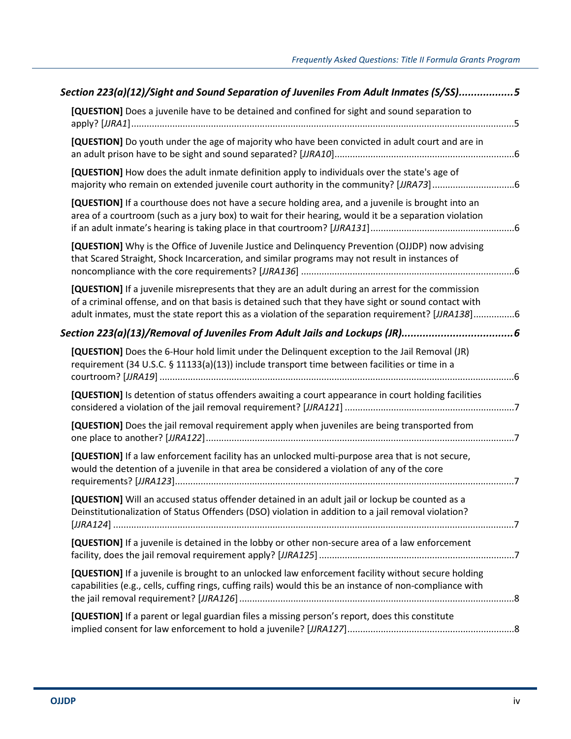| Section 223(a)(12)/Sight and Sound Separation of Juveniles From Adult Inmates (S/SS)5                                                                                                                                                                                                                           |  |
|-----------------------------------------------------------------------------------------------------------------------------------------------------------------------------------------------------------------------------------------------------------------------------------------------------------------|--|
| [QUESTION] Does a juvenile have to be detained and confined for sight and sound separation to                                                                                                                                                                                                                   |  |
| [QUESTION] Do youth under the age of majority who have been convicted in adult court and are in                                                                                                                                                                                                                 |  |
| [QUESTION] How does the adult inmate definition apply to individuals over the state's age of                                                                                                                                                                                                                    |  |
| [QUESTION] If a courthouse does not have a secure holding area, and a juvenile is brought into an<br>area of a courtroom (such as a jury box) to wait for their hearing, would it be a separation violation                                                                                                     |  |
| [QUESTION] Why is the Office of Juvenile Justice and Delinquency Prevention (OJJDP) now advising<br>that Scared Straight, Shock Incarceration, and similar programs may not result in instances of                                                                                                              |  |
| [QUESTION] If a juvenile misrepresents that they are an adult during an arrest for the commission<br>of a criminal offense, and on that basis is detained such that they have sight or sound contact with<br>adult inmates, must the state report this as a violation of the separation requirement? [JJRA138]6 |  |
|                                                                                                                                                                                                                                                                                                                 |  |
| [QUESTION] Does the 6-Hour hold limit under the Delinquent exception to the Jail Removal (JR)<br>requirement (34 U.S.C. § 11133(a)(13)) include transport time between facilities or time in a                                                                                                                  |  |
| [QUESTION] Is detention of status offenders awaiting a court appearance in court holding facilities                                                                                                                                                                                                             |  |
| [QUESTION] Does the jail removal requirement apply when juveniles are being transported from                                                                                                                                                                                                                    |  |
| [QUESTION] If a law enforcement facility has an unlocked multi-purpose area that is not secure,<br>would the detention of a juvenile in that area be considered a violation of any of the core                                                                                                                  |  |
| [QUESTION] Will an accused status offender detained in an adult jail or lockup be counted as a<br>Deinstitutionalization of Status Offenders (DSO) violation in addition to a jail removal violation?                                                                                                           |  |
| [QUESTION] If a juvenile is detained in the lobby or other non-secure area of a law enforcement                                                                                                                                                                                                                 |  |
| [QUESTION] If a juvenile is brought to an unlocked law enforcement facility without secure holding<br>capabilities (e.g., cells, cuffing rings, cuffing rails) would this be an instance of non-compliance with                                                                                                 |  |
| [QUESTION] If a parent or legal guardian files a missing person's report, does this constitute                                                                                                                                                                                                                  |  |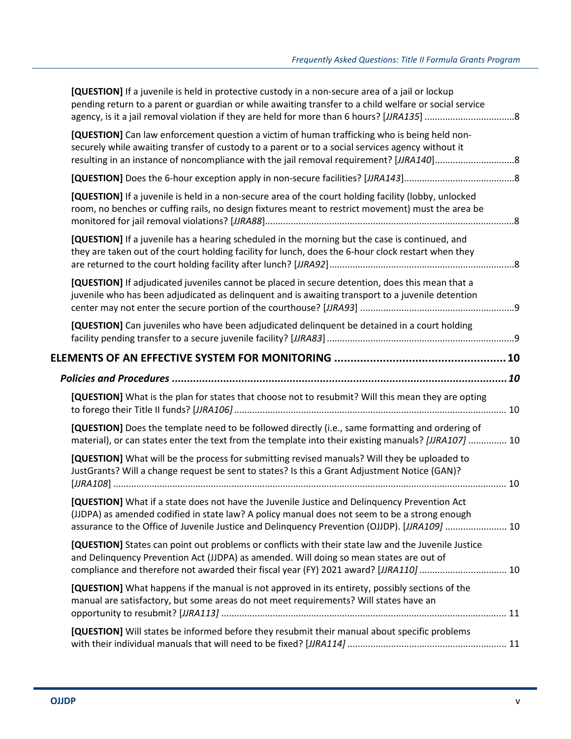| [QUESTION] If a juvenile is held in protective custody in a non-secure area of a jail or lockup<br>pending return to a parent or guardian or while awaiting transfer to a child welfare or social service                                                                                      |  |
|------------------------------------------------------------------------------------------------------------------------------------------------------------------------------------------------------------------------------------------------------------------------------------------------|--|
| [QUESTION] Can law enforcement question a victim of human trafficking who is being held non-<br>securely while awaiting transfer of custody to a parent or to a social services agency without it                                                                                              |  |
|                                                                                                                                                                                                                                                                                                |  |
| [QUESTION] If a juvenile is held in a non-secure area of the court holding facility (lobby, unlocked<br>room, no benches or cuffing rails, no design fixtures meant to restrict movement) must the area be                                                                                     |  |
| [QUESTION] If a juvenile has a hearing scheduled in the morning but the case is continued, and<br>they are taken out of the court holding facility for lunch, does the 6-hour clock restart when they                                                                                          |  |
| [QUESTION] If adjudicated juveniles cannot be placed in secure detention, does this mean that a<br>juvenile who has been adjudicated as delinguent and is awaiting transport to a juvenile detention                                                                                           |  |
| [QUESTION] Can juveniles who have been adjudicated delinquent be detained in a court holding                                                                                                                                                                                                   |  |
|                                                                                                                                                                                                                                                                                                |  |
|                                                                                                                                                                                                                                                                                                |  |
|                                                                                                                                                                                                                                                                                                |  |
| [QUESTION] What is the plan for states that choose not to resubmit? Will this mean they are opting                                                                                                                                                                                             |  |
| [QUESTION] Does the template need to be followed directly (i.e., same formatting and ordering of<br>material), or can states enter the text from the template into their existing manuals? [JJRA107]  10                                                                                       |  |
| [QUESTION] What will be the process for submitting revised manuals? Will they be uploaded to<br>JustGrants? Will a change request be sent to states? Is this a Grant Adjustment Notice (GAN)?                                                                                                  |  |
| [QUESTION] What if a state does not have the Juvenile Justice and Delinquency Prevention Act<br>(JJDPA) as amended codified in state law? A policy manual does not seem to be a strong enough<br>assurance to the Office of Juvenile Justice and Delinquency Prevention (OJJDP). [JJRA109]  10 |  |
| [QUESTION] States can point out problems or conflicts with their state law and the Juvenile Justice<br>and Delinquency Prevention Act (JJDPA) as amended. Will doing so mean states are out of<br>compliance and therefore not awarded their fiscal year (FY) 2021 award? [JJRA110]  10        |  |
| [QUESTION] What happens if the manual is not approved in its entirety, possibly sections of the<br>manual are satisfactory, but some areas do not meet requirements? Will states have an                                                                                                       |  |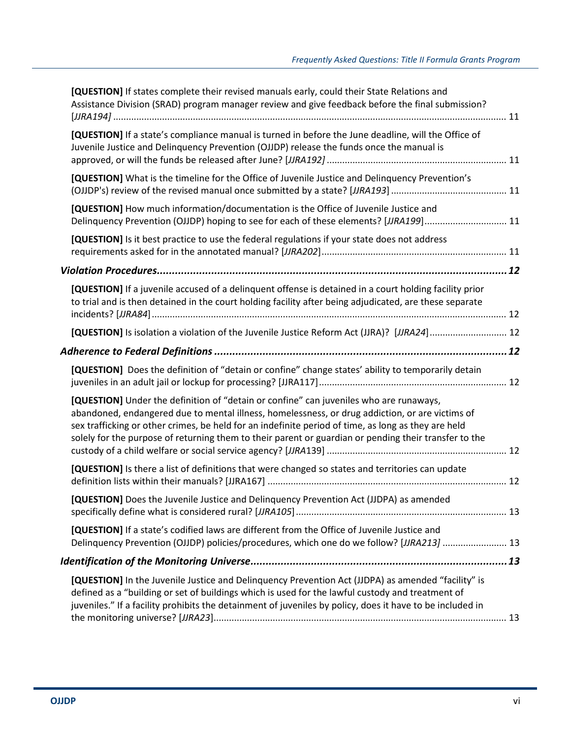| [QUESTION] If states complete their revised manuals early, could their State Relations and<br>Assistance Division (SRAD) program manager review and give feedback before the final submission?                                                                                                                                                                                                            |  |
|-----------------------------------------------------------------------------------------------------------------------------------------------------------------------------------------------------------------------------------------------------------------------------------------------------------------------------------------------------------------------------------------------------------|--|
| [QUESTION] If a state's compliance manual is turned in before the June deadline, will the Office of                                                                                                                                                                                                                                                                                                       |  |
| Juvenile Justice and Delinquency Prevention (OJJDP) release the funds once the manual is                                                                                                                                                                                                                                                                                                                  |  |
| [QUESTION] What is the timeline for the Office of Juvenile Justice and Delinquency Prevention's                                                                                                                                                                                                                                                                                                           |  |
| [QUESTION] How much information/documentation is the Office of Juvenile Justice and<br>Delinquency Prevention (OJJDP) hoping to see for each of these elements? [JJRA199]11                                                                                                                                                                                                                               |  |
| [QUESTION] Is it best practice to use the federal regulations if your state does not address                                                                                                                                                                                                                                                                                                              |  |
|                                                                                                                                                                                                                                                                                                                                                                                                           |  |
| [QUESTION] If a juvenile accused of a delinguent offense is detained in a court holding facility prior<br>to trial and is then detained in the court holding facility after being adjudicated, are these separate                                                                                                                                                                                         |  |
| [QUESTION] Is isolation a violation of the Juvenile Justice Reform Act (JJRA)? [JJRA24] 12                                                                                                                                                                                                                                                                                                                |  |
| Adherence to Federal Definitions ……………………………………………………………………………………………12                                                                                                                                                                                                                                                                                                                                    |  |
| [QUESTION] Does the definition of "detain or confine" change states' ability to temporarily detain                                                                                                                                                                                                                                                                                                        |  |
| [QUESTION] Under the definition of "detain or confine" can juveniles who are runaways,<br>abandoned, endangered due to mental illness, homelessness, or drug addiction, or are victims of<br>sex trafficking or other crimes, be held for an indefinite period of time, as long as they are held<br>solely for the purpose of returning them to their parent or guardian or pending their transfer to the |  |
| [QUESTION] Is there a list of definitions that were changed so states and territories can update                                                                                                                                                                                                                                                                                                          |  |
| [QUESTION] Does the Juvenile Justice and Delinguency Prevention Act (JJDPA) as amended                                                                                                                                                                                                                                                                                                                    |  |
| [QUESTION] If a state's codified laws are different from the Office of Juvenile Justice and<br>Delinquency Prevention (OJJDP) policies/procedures, which one do we follow? [JJRA213]  13                                                                                                                                                                                                                  |  |
|                                                                                                                                                                                                                                                                                                                                                                                                           |  |
| [QUESTION] In the Juvenile Justice and Delinquency Prevention Act (JJDPA) as amended "facility" is<br>defined as a "building or set of buildings which is used for the lawful custody and treatment of<br>juveniles." If a facility prohibits the detainment of juveniles by policy, does it have to be included in                                                                                       |  |
|                                                                                                                                                                                                                                                                                                                                                                                                           |  |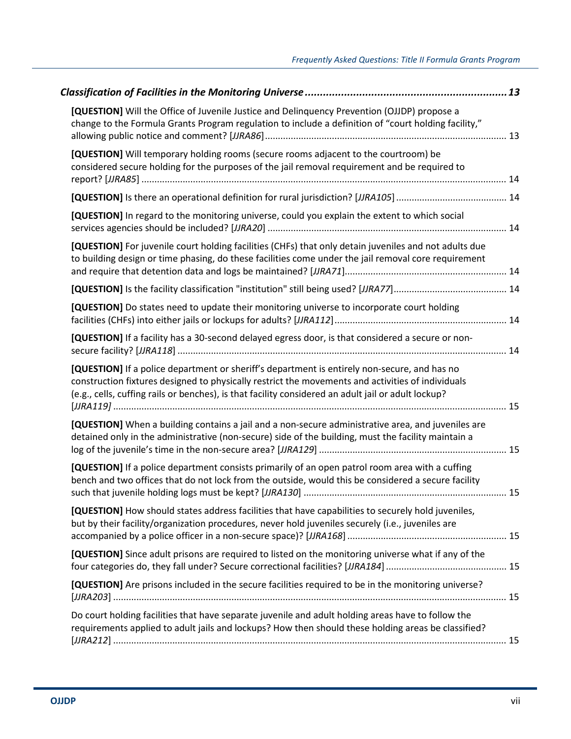| [QUESTION] Will the Office of Juvenile Justice and Delinquency Prevention (OJJDP) propose a<br>change to the Formula Grants Program regulation to include a definition of "court holding facility,"                                                                                                      |  |
|----------------------------------------------------------------------------------------------------------------------------------------------------------------------------------------------------------------------------------------------------------------------------------------------------------|--|
| [QUESTION] Will temporary holding rooms (secure rooms adjacent to the courtroom) be<br>considered secure holding for the purposes of the jail removal requirement and be required to                                                                                                                     |  |
|                                                                                                                                                                                                                                                                                                          |  |
| [QUESTION] In regard to the monitoring universe, could you explain the extent to which social                                                                                                                                                                                                            |  |
| [QUESTION] For juvenile court holding facilities (CHFs) that only detain juveniles and not adults due<br>to building design or time phasing, do these facilities come under the jail removal core requirement                                                                                            |  |
|                                                                                                                                                                                                                                                                                                          |  |
| [QUESTION] Do states need to update their monitoring universe to incorporate court holding                                                                                                                                                                                                               |  |
| [QUESTION] If a facility has a 30-second delayed egress door, is that considered a secure or non-                                                                                                                                                                                                        |  |
| [QUESTION] If a police department or sheriff's department is entirely non-secure, and has no<br>construction fixtures designed to physically restrict the movements and activities of individuals<br>(e.g., cells, cuffing rails or benches), is that facility considered an adult jail or adult lockup? |  |
| [QUESTION] When a building contains a jail and a non-secure administrative area, and juveniles are<br>detained only in the administrative (non-secure) side of the building, must the facility maintain a                                                                                                |  |
| [QUESTION] If a police department consists primarily of an open patrol room area with a cuffing<br>bench and two offices that do not lock from the outside, would this be considered a secure facility                                                                                                   |  |
| [QUESTION] How should states address facilities that have capabilities to securely hold juveniles,<br>but by their facility/organization procedures, never hold juveniles securely (i.e., juveniles are                                                                                                  |  |
| [QUESTION] Since adult prisons are required to listed on the monitoring universe what if any of the                                                                                                                                                                                                      |  |
| [QUESTION] Are prisons included in the secure facilities required to be in the monitoring universe?                                                                                                                                                                                                      |  |
| Do court holding facilities that have separate juvenile and adult holding areas have to follow the<br>requirements applied to adult jails and lockups? How then should these holding areas be classified?                                                                                                |  |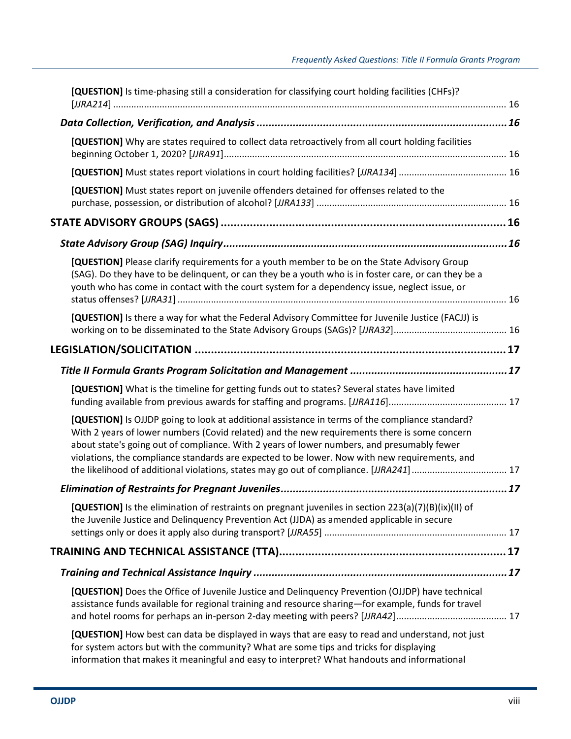| [QUESTION] Is time-phasing still a consideration for classifying court holding facilities (CHFs)?                                                                                                                                                                                                                                                                                                                                                                                        |  |
|------------------------------------------------------------------------------------------------------------------------------------------------------------------------------------------------------------------------------------------------------------------------------------------------------------------------------------------------------------------------------------------------------------------------------------------------------------------------------------------|--|
|                                                                                                                                                                                                                                                                                                                                                                                                                                                                                          |  |
| [QUESTION] Why are states required to collect data retroactively from all court holding facilities                                                                                                                                                                                                                                                                                                                                                                                       |  |
|                                                                                                                                                                                                                                                                                                                                                                                                                                                                                          |  |
| [QUESTION] Must states report on juvenile offenders detained for offenses related to the                                                                                                                                                                                                                                                                                                                                                                                                 |  |
|                                                                                                                                                                                                                                                                                                                                                                                                                                                                                          |  |
|                                                                                                                                                                                                                                                                                                                                                                                                                                                                                          |  |
| [QUESTION] Please clarify requirements for a youth member to be on the State Advisory Group<br>(SAG). Do they have to be delinquent, or can they be a youth who is in foster care, or can they be a<br>youth who has come in contact with the court system for a dependency issue, neglect issue, or                                                                                                                                                                                     |  |
| [QUESTION] Is there a way for what the Federal Advisory Committee for Juvenile Justice (FACJJ) is                                                                                                                                                                                                                                                                                                                                                                                        |  |
|                                                                                                                                                                                                                                                                                                                                                                                                                                                                                          |  |
|                                                                                                                                                                                                                                                                                                                                                                                                                                                                                          |  |
| [QUESTION] What is the timeline for getting funds out to states? Several states have limited                                                                                                                                                                                                                                                                                                                                                                                             |  |
| [QUESTION] Is OJJDP going to look at additional assistance in terms of the compliance standard?<br>With 2 years of lower numbers (Covid related) and the new requirements there is some concern<br>about state's going out of compliance. With 2 years of lower numbers, and presumably fewer<br>violations, the compliance standards are expected to be lower. Now with new requirements, and<br>the likelihood of additional violations, states may go out of compliance. [JJRA241] 17 |  |
|                                                                                                                                                                                                                                                                                                                                                                                                                                                                                          |  |
| [QUESTION] Is the elimination of restraints on pregnant juveniles in section $223(a)(7)(B)(ix)(II)$ of<br>the Juvenile Justice and Delinquency Prevention Act (JJDA) as amended applicable in secure                                                                                                                                                                                                                                                                                     |  |
|                                                                                                                                                                                                                                                                                                                                                                                                                                                                                          |  |
|                                                                                                                                                                                                                                                                                                                                                                                                                                                                                          |  |
| [QUESTION] Does the Office of Juvenile Justice and Delinquency Prevention (OJJDP) have technical<br>assistance funds available for regional training and resource sharing-for example, funds for travel                                                                                                                                                                                                                                                                                  |  |
| [QUESTION] How best can data be displayed in ways that are easy to read and understand, not just<br>for system actors but with the community? What are some tips and tricks for displaying<br>information that makes it meaningful and easy to interpret? What handouts and informational                                                                                                                                                                                                |  |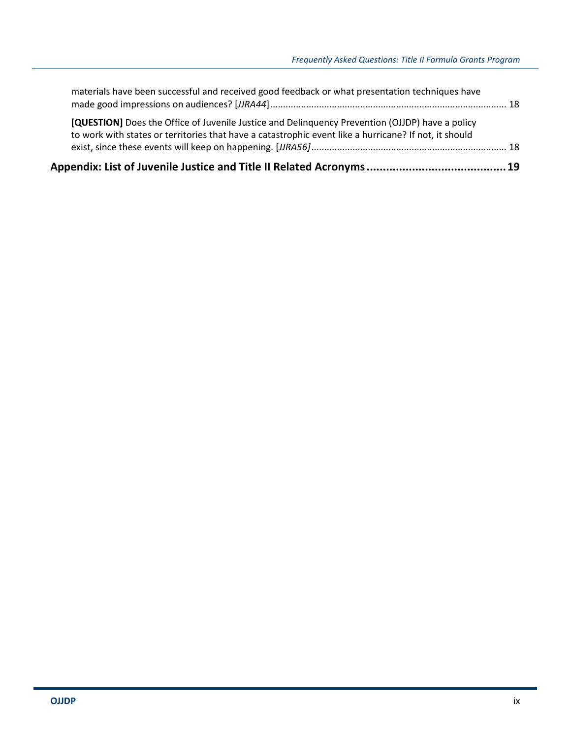| [QUESTION] Does the Office of Juvenile Justice and Delinguency Prevention (OJJDP) have a policy<br>to work with states or territories that have a catastrophic event like a hurricane? If not, it should |  |
|----------------------------------------------------------------------------------------------------------------------------------------------------------------------------------------------------------|--|
| materials have been successful and received good feedback or what presentation techniques have                                                                                                           |  |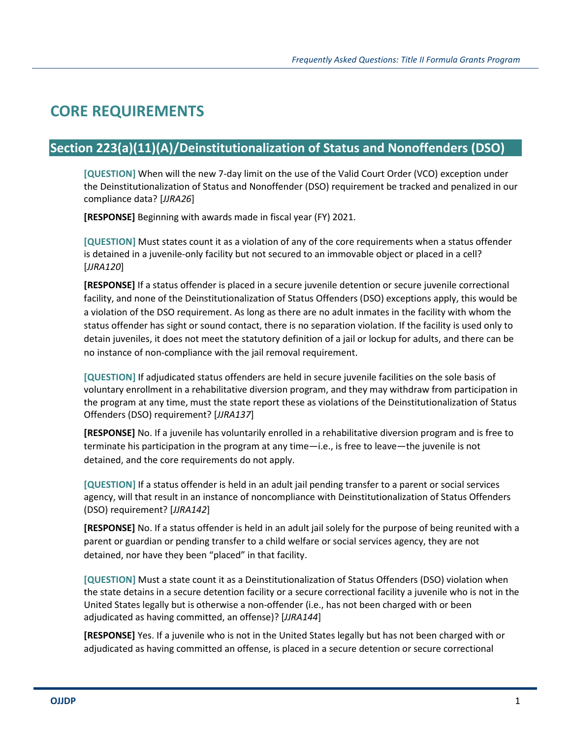## **CORE REQUIREMENTS**

### **Section 223(a)(11)(A)/Deinstitutionalization of Status and Nonoffenders (DSO)**

**[QUESTION]** When will the new 7-day limit on the use of the Valid Court Order (VCO) exception under the Deinstitutionalization of Status and Nonoffender (DSO) requirement be tracked and penalized in our compliance data? [*JJRA26*]

**[RESPONSE]** Beginning with awards made in fiscal year (FY) 2021.

**[QUESTION]** Must states count it as a violation of any of the core requirements when a status offender is detained in a juvenile-only facility but not secured to an immovable object or placed in a cell? [*JJRA120*]

**[RESPONSE]** If a status offender is placed in a secure juvenile detention or secure juvenile correctional facility, and none of the Deinstitutionalization of Status Offenders (DSO) exceptions apply, this would be a violation of the DSO requirement. As long as there are no adult inmates in the facility with whom the status offender has sight or sound contact, there is no separation violation. If the facility is used only to detain juveniles, it does not meet the statutory definition of a jail or lockup for adults, and there can be no instance of non-compliance with the jail removal requirement.

**[QUESTION]** If adjudicated status offenders are held in secure juvenile facilities on the sole basis of voluntary enrollment in a rehabilitative diversion program, and they may withdraw from participation in the program at any time, must the state report these as violations of the Deinstitutionalization of Status Offenders (DSO) requirement? [*JJRA137*]

**[RESPONSE]** No. If a juvenile has voluntarily enrolled in a rehabilitative diversion program and is free to terminate his participation in the program at any time—i.e., is free to leave—the juvenile is not detained, and the core requirements do not apply.

**[QUESTION]** If a status offender is held in an adult jail pending transfer to a parent or social services agency, will that result in an instance of noncompliance with Deinstitutionalization of Status Offenders (DSO) requirement? [*JJRA142*]

**[RESPONSE]** No. If a status offender is held in an adult jail solely for the purpose of being reunited with a parent or guardian or pending transfer to a child welfare or social services agency, they are not detained, nor have they been "placed" in that facility.

**[QUESTION]** Must a state count it as a Deinstitutionalization of Status Offenders (DSO) violation when the state detains in a secure detention facility or a secure correctional facility a juvenile who is not in the United States legally but is otherwise a non-offender (i.e., has not been charged with or been adjudicated as having committed, an offense)? [*JJRA144*]

**[RESPONSE]** Yes. If a juvenile who is not in the United States legally but has not been charged with or adjudicated as having committed an offense, is placed in a secure detention or secure correctional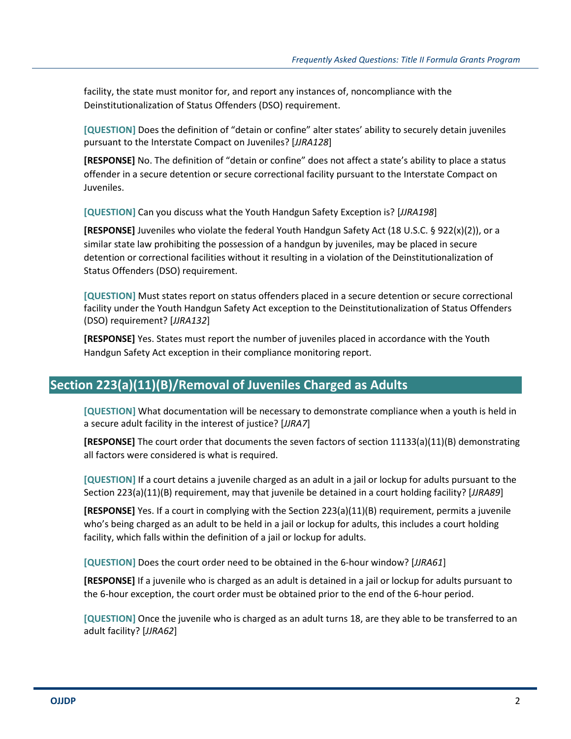facility, the state must monitor for, and report any instances of, noncompliance with the Deinstitutionalization of Status Offenders (DSO) requirement.

**[QUESTION]** Does the definition of "detain or confine" alter states' ability to securely detain juveniles pursuant to the Interstate Compact on Juveniles? [*JJRA128*]

**[RESPONSE]** No. The definition of "detain or confine" does not affect a state's ability to place a status offender in a secure detention or secure correctional facility pursuant to the Interstate Compact on Juveniles.

**[QUESTION]** Can you discuss what the Youth Handgun Safety Exception is? [*JJRA198*]

**[RESPONSE]** Juveniles who violate the federal Youth Handgun Safety Act (18 U.S.C. § 922(x)(2)), or a similar state law prohibiting the possession of a handgun by juveniles, may be placed in secure detention or correctional facilities without it resulting in a violation of the Deinstitutionalization of Status Offenders (DSO) requirement.

**[QUESTION]** Must states report on status offenders placed in a secure detention or secure correctional facility under the Youth Handgun Safety Act exception to the Deinstitutionalization of Status Offenders (DSO) requirement? [*JJRA132*]

**[RESPONSE]** Yes. States must report the number of juveniles placed in accordance with the Youth Handgun Safety Act exception in their compliance monitoring report.

#### **Section 223(a)(11)(B)/Removal of Juveniles Charged as Adults**

**[QUESTION]** What documentation will be necessary to demonstrate compliance when a youth is held in a secure adult facility in the interest of justice? [*JJRA7*]

**[RESPONSE]** The court order that documents the seven factors of section 11133(a)(11)(B) demonstrating all factors were considered is what is required.

**[QUESTION]** If a court detains a juvenile charged as an adult in a jail or lockup for adults pursuant to the Section 223(a)(11)(B) requirement, may that juvenile be detained in a court holding facility? [*JJRA89*]

**[RESPONSE]** Yes. If a court in complying with the Section 223(a)(11)(B) requirement, permits a juvenile who's being charged as an adult to be held in a jail or lockup for adults, this includes a court holding facility, which falls within the definition of a jail or lockup for adults.

**[QUESTION]** Does the court order need to be obtained in the 6-hour window? [*JJRA61*]

**[RESPONSE]** If a juvenile who is charged as an adult is detained in a jail or lockup for adults pursuant to the 6-hour exception, the court order must be obtained prior to the end of the 6-hour period.

**[QUESTION]** Once the juvenile who is charged as an adult turns 18, are they able to be transferred to an adult facility? [*JJRA62*]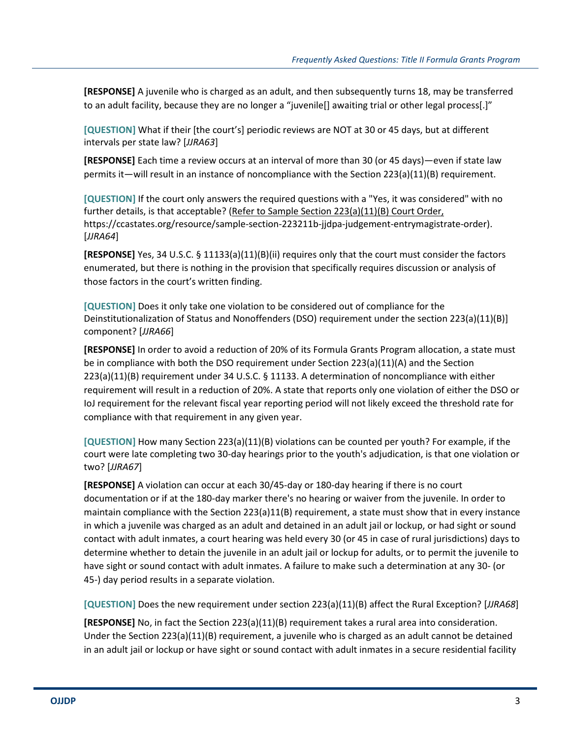**[RESPONSE]** A juvenile who is charged as an adult, and then subsequently turns 18, may be transferred to an adult facility, because they are no longer a "juvenile[] awaiting trial or other legal process[.]"

**[QUESTION]** What if their [the court's] periodic reviews are NOT at 30 or 45 days, but at different intervals per state law? [*JJRA63*]

**[RESPONSE]** Each time a review occurs at an interval of more than 30 (or 45 days)—even if state law permits it—will result in an instance of noncompliance with the Section 223(a)(11)(B) requirement.

**[QUESTION]** If the court only answers the required questions with a "Yes, it was considered" with no further details, is that acceptable? (Refer to Sample Section 223(a)(11)(B) Court Order, https://ccastates.org/resource/sample-section-223211b-jjdpa-judgement-entrymagistrate-order). [*JJRA64*]

**[RESPONSE]** Yes, 34 U.S.C. § 11133(a)(11)(B)(ii) requires only that the court must consider the factors enumerated, but there is nothing in the provision that specifically requires discussion or analysis of those factors in the court's written finding.

**[QUESTION]** Does it only take one violation to be considered out of compliance for the Deinstitutionalization of Status and Nonoffenders (DSO) requirement under the section 223(a)(11)(B)] component? [*JJRA66*]

**[RESPONSE]** In order to avoid a reduction of 20% of its Formula Grants Program allocation, a state must be in compliance with both the DSO requirement under Section 223(a)(11)(A) and the Section 223(a)(11)(B) requirement under 34 U.S.C. § 11133. A determination of noncompliance with either requirement will result in a reduction of 20%. A state that reports only one violation of either the DSO or IoJ requirement for the relevant fiscal year reporting period will not likely exceed the threshold rate for compliance with that requirement in any given year.

**[QUESTION]** How many Section 223(a)(11)(B) violations can be counted per youth? For example, if the court were late completing two 30-day hearings prior to the youth's adjudication, is that one violation or two? [*JJRA67*]

**[RESPONSE]** A violation can occur at each 30/45-day or 180-day hearing if there is no court documentation or if at the 180-day marker there's no hearing or waiver from the juvenile. In order to maintain compliance with the Section 223(a)11(B) requirement, a state must show that in every instance in which a juvenile was charged as an adult and detained in an adult jail or lockup, or had sight or sound contact with adult inmates, a court hearing was held every 30 (or 45 in case of rural jurisdictions) days to determine whether to detain the juvenile in an adult jail or lockup for adults, or to permit the juvenile to have sight or sound contact with adult inmates. A failure to make such a determination at any 30- (or 45-) day period results in a separate violation.

**[QUESTION]** Does the new requirement under section 223(a)(11)(B) affect the Rural Exception? [*JJRA68*]

**[RESPONSE]** No, in fact the Section 223(a)(11)(B) requirement takes a rural area into consideration. Under the Section 223(a)(11)(B) requirement, a juvenile who is charged as an adult cannot be detained in an adult jail or lockup or have sight or sound contact with adult inmates in a secure residential facility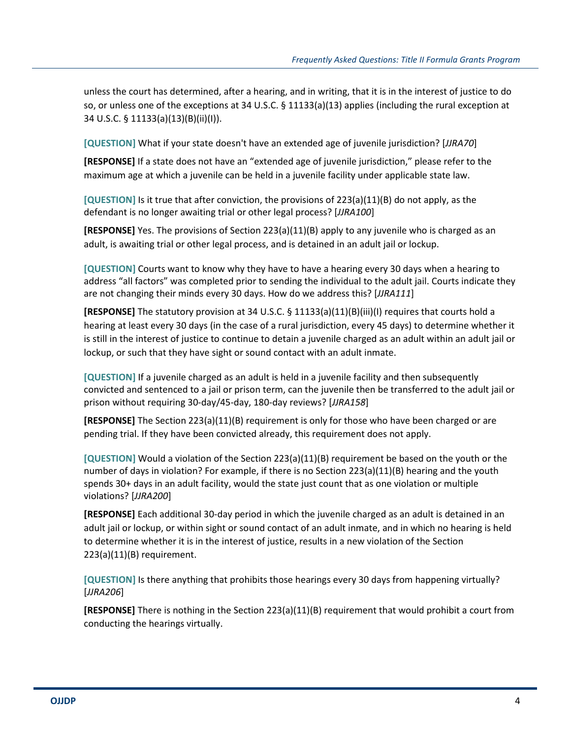unless the court has determined, after a hearing, and in writing, that it is in the interest of justice to do so, or unless one of the exceptions at 34 U.S.C. § 11133(a)(13) applies (including the rural exception at 34 U.S.C. § 11133(a)(13)(B)(ii)(I)).

**[QUESTION]** What if your state doesn't have an extended age of juvenile jurisdiction? [*JJRA70*]

**[RESPONSE]** If a state does not have an "extended age of juvenile jurisdiction," please refer to the maximum age at which a juvenile can be held in a juvenile facility under applicable state law.

**[QUESTION]** Is it true that after conviction, the provisions of 223(a)(11)(B) do not apply, as the defendant is no longer awaiting trial or other legal process? [*JJRA100*]

**[RESPONSE]** Yes. The provisions of Section 223(a)(11)(B) apply to any juvenile who is charged as an adult, is awaiting trial or other legal process, and is detained in an adult jail or lockup.

**[QUESTION]** Courts want to know why they have to have a hearing every 30 days when a hearing to address "all factors" was completed prior to sending the individual to the adult jail. Courts indicate they are not changing their minds every 30 days. How do we address this? [*JJRA111*]

**[RESPONSE]** The statutory provision at 34 U.S.C. § 11133(a)(11)(B)(iii)(I) requires that courts hold a hearing at least every 30 days (in the case of a rural jurisdiction, every 45 days) to determine whether it is still in the interest of justice to continue to detain a juvenile charged as an adult within an adult jail or lockup, or such that they have sight or sound contact with an adult inmate.

**[QUESTION]** If a juvenile charged as an adult is held in a juvenile facility and then subsequently convicted and sentenced to a jail or prison term, can the juvenile then be transferred to the adult jail or prison without requiring 30-day/45-day, 180-day reviews? [*JJRA158*]

**[RESPONSE]** The Section 223(a)(11)(B) requirement is only for those who have been charged or are pending trial. If they have been convicted already, this requirement does not apply.

**[QUESTION]** Would a violation of the Section 223(a)(11)(B) requirement be based on the youth or the number of days in violation? For example, if there is no Section 223(a)(11)(B) hearing and the youth spends 30+ days in an adult facility, would the state just count that as one violation or multiple violations? [*JJRA200*]

**[RESPONSE]** Each additional 30-day period in which the juvenile charged as an adult is detained in an adult jail or lockup, or within sight or sound contact of an adult inmate, and in which no hearing is held to determine whether it is in the interest of justice, results in a new violation of the Section 223(a)(11)(B) requirement.

**[QUESTION]** Is there anything that prohibits those hearings every 30 days from happening virtually? [*JJRA206*]

**[RESPONSE]** There is nothing in the Section 223(a)(11)(B) requirement that would prohibit a court from conducting the hearings virtually.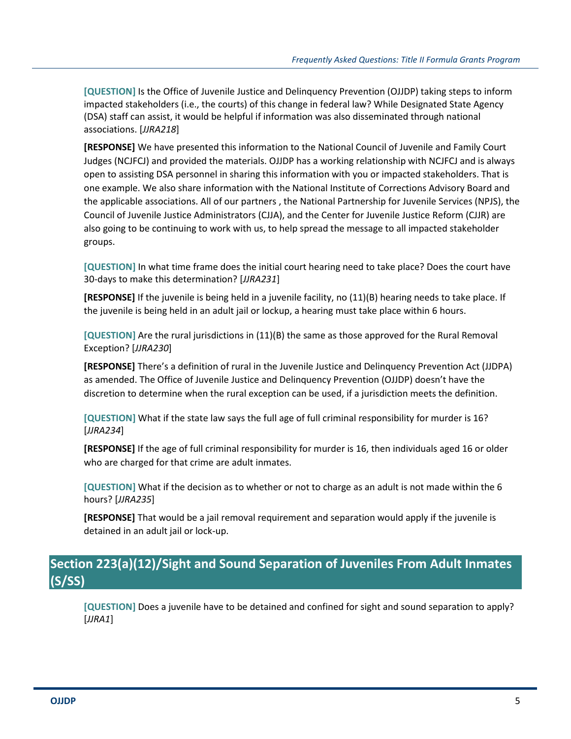**[QUESTION]** Is the Office of Juvenile Justice and Delinquency Prevention (OJJDP) taking steps to inform impacted stakeholders (i.e., the courts) of this change in federal law? While Designated State Agency (DSA) staff can assist, it would be helpful if information was also disseminated through national associations. [*JJRA218*]

**[RESPONSE]** We have presented this information to the National Council of Juvenile and Family Court Judges (NCJFCJ) and provided the materials. OJJDP has a working relationship with NCJFCJ and is always open to assisting DSA personnel in sharing this information with you or impacted stakeholders. That is one example. We also share information with the National Institute of Corrections Advisory Board and the applicable associations. All of our partners , the National Partnership for Juvenile Services (NPJS), the Council of Juvenile Justice Administrators (CJJA), and the Center for Juvenile Justice Reform (CJJR) are also going to be continuing to work with us, to help spread the message to all impacted stakeholder groups.

**[QUESTION]** In what time frame does the initial court hearing need to take place? Does the court have 30-days to make this determination? [*JJRA231*]

**[RESPONSE]** If the juvenile is being held in a juvenile facility, no (11)(B) hearing needs to take place. If the juvenile is being held in an adult jail or lockup, a hearing must take place within 6 hours.

**[QUESTION]** Are the rural jurisdictions in (11)(B) the same as those approved for the Rural Removal Exception? [*JJRA230*]

**[RESPONSE]** There's a definition of rural in the Juvenile Justice and Delinquency Prevention Act (JJDPA) as amended. The Office of Juvenile Justice and Delinquency Prevention (OJJDP) doesn't have the discretion to determine when the rural exception can be used, if a jurisdiction meets the definition.

**[QUESTION]** What if the state law says the full age of full criminal responsibility for murder is 16? [*JJRA234*]

**[RESPONSE]** If the age of full criminal responsibility for murder is 16, then individuals aged 16 or older who are charged for that crime are adult inmates.

**[QUESTION]** What if the decision as to whether or not to charge as an adult is not made within the 6 hours? [*JJRA235*]

**[RESPONSE]** That would be a jail removal requirement and separation would apply if the juvenile is detained in an adult jail or lock-up.

### **Section 223(a)(12)/Sight and Sound Separation of Juveniles From Adult Inmates (S/SS)**

**[QUESTION]** Does a juvenile have to be detained and confined for sight and sound separation to apply? [*JJRA1*]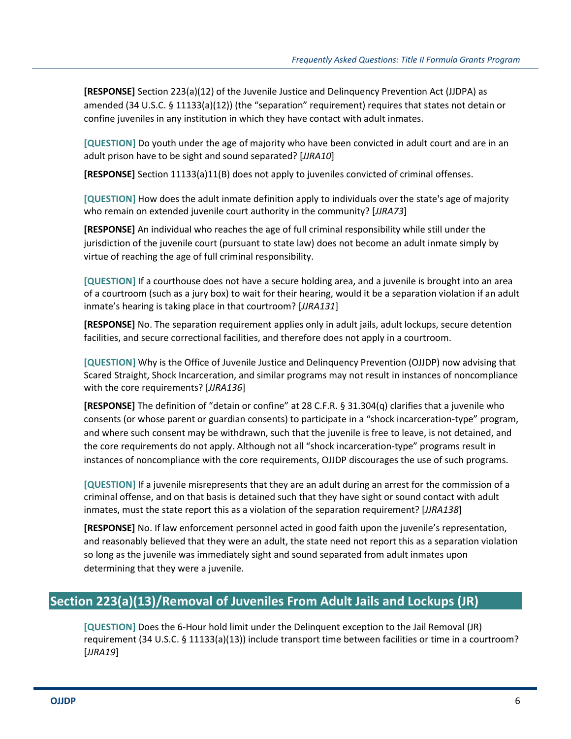**[RESPONSE]** Section 223(a)(12) of the Juvenile Justice and Delinquency Prevention Act (JJDPA) as amended (34 U.S.C. § 11133(a)(12)) (the "separation" requirement) requires that states not detain or confine juveniles in any institution in which they have contact with adult inmates.

**[QUESTION]** Do youth under the age of majority who have been convicted in adult court and are in an adult prison have to be sight and sound separated? [*JJRA10*]

**[RESPONSE]** Section 11133(a)11(B) does not apply to juveniles convicted of criminal offenses.

**[QUESTION]** How does the adult inmate definition apply to individuals over the state's age of majority who remain on extended juvenile court authority in the community? [*JJRA73*]

**[RESPONSE]** An individual who reaches the age of full criminal responsibility while still under the jurisdiction of the juvenile court (pursuant to state law) does not become an adult inmate simply by virtue of reaching the age of full criminal responsibility.

**[QUESTION]** If a courthouse does not have a secure holding area, and a juvenile is brought into an area of a courtroom (such as a jury box) to wait for their hearing, would it be a separation violation if an adult inmate's hearing is taking place in that courtroom? [*JJRA131*]

**[RESPONSE]** No. The separation requirement applies only in adult jails, adult lockups, secure detention facilities, and secure correctional facilities, and therefore does not apply in a courtroom.

**[QUESTION]** Why is the Office of Juvenile Justice and Delinquency Prevention (OJJDP) now advising that Scared Straight, Shock Incarceration, and similar programs may not result in instances of noncompliance with the core requirements? [*JJRA136*]

**[RESPONSE]** The definition of "detain or confine" at 28 C.F.R. § 31.304(q) clarifies that a juvenile who consents (or whose parent or guardian consents) to participate in a "shock incarceration-type" program, and where such consent may be withdrawn, such that the juvenile is free to leave, is not detained, and the core requirements do not apply. Although not all "shock incarceration-type" programs result in instances of noncompliance with the core requirements, OJJDP discourages the use of such programs.

**[QUESTION]** If a juvenile misrepresents that they are an adult during an arrest for the commission of a criminal offense, and on that basis is detained such that they have sight or sound contact with adult inmates, must the state report this as a violation of the separation requirement? [*JJRA138*]

**[RESPONSE]** No. If law enforcement personnel acted in good faith upon the juvenile's representation, and reasonably believed that they were an adult, the state need not report this as a separation violation so long as the juvenile was immediately sight and sound separated from adult inmates upon determining that they were a juvenile.

#### **Section 223(a)(13)/Removal of Juveniles From Adult Jails and Lockups (JR)**

**[QUESTION]** Does the 6-Hour hold limit under the Delinquent exception to the Jail Removal (JR) requirement (34 U.S.C. § 11133(a)(13)) include transport time between facilities or time in a courtroom? [*JJRA19*]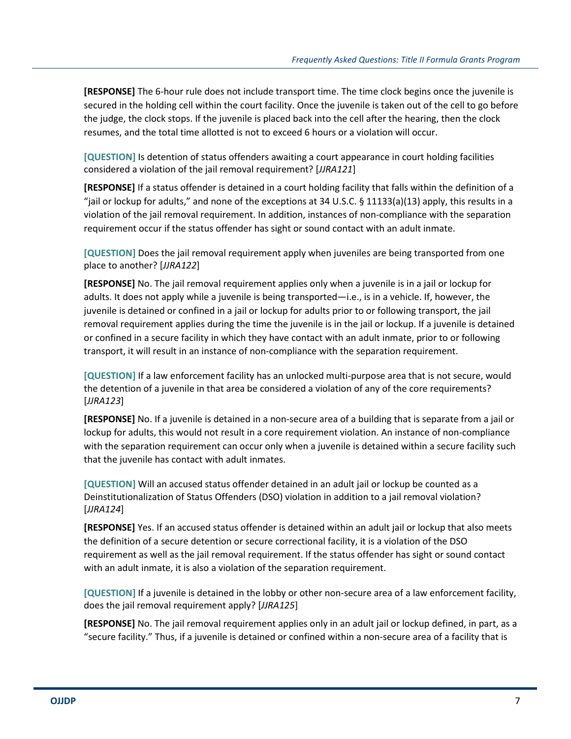**[RESPONSE]** The 6-hour rule does not include transport time. The time clock begins once the juvenile is secured in the holding cell within the court facility. Once the juvenile is taken out of the cell to go before the judge, the clock stops. If the juvenile is placed back into the cell after the hearing, then the clock resumes, and the total time allotted is not to exceed 6 hours or a violation will occur.

**[QUESTION]** Is detention of status offenders awaiting a court appearance in court holding facilities considered a violation of the jail removal requirement? [*JJRA121*]

**[RESPONSE]** If a status offender is detained in a court holding facility that falls within the definition of a "jail or lockup for adults," and none of the exceptions at 34 U.S.C. § 11133(a)(13) apply, this results in a violation of the jail removal requirement. In addition, instances of non-compliance with the separation requirement occur if the status offender has sight or sound contact with an adult inmate.

**[QUESTION]** Does the jail removal requirement apply when juveniles are being transported from one place to another? [*JJRA122*]

**[RESPONSE]** No. The jail removal requirement applies only when a juvenile is in a jail or lockup for adults. It does not apply while a juvenile is being transported—i.e., is in a vehicle. If, however, the juvenile is detained or confined in a jail or lockup for adults prior to or following transport, the jail removal requirement applies during the time the juvenile is in the jail or lockup. If a juvenile is detained or confined in a secure facility in which they have contact with an adult inmate, prior to or following transport, it will result in an instance of non-compliance with the separation requirement.

**[QUESTION]** If a law enforcement facility has an unlocked multi-purpose area that is not secure, would the detention of a juvenile in that area be considered a violation of any of the core requirements? [*JJRA123*]

**[RESPONSE]** No. If a juvenile is detained in a non-secure area of a building that is separate from a jail or lockup for adults, this would not result in a core requirement violation. An instance of non-compliance with the separation requirement can occur only when a juvenile is detained within a secure facility such that the juvenile has contact with adult inmates.

**[QUESTION]** Will an accused status offender detained in an adult jail or lockup be counted as a Deinstitutionalization of Status Offenders (DSO) violation in addition to a jail removal violation? [*JJRA124*]

**[RESPONSE]** Yes. If an accused status offender is detained within an adult jail or lockup that also meets the definition of a secure detention or secure correctional facility, it is a violation of the DSO requirement as well as the jail removal requirement. If the status offender has sight or sound contact with an adult inmate, it is also a violation of the separation requirement.

**[QUESTION]** If a juvenile is detained in the lobby or other non-secure area of a law enforcement facility, does the jail removal requirement apply? [*JJRA125*]

**[RESPONSE]** No. The jail removal requirement applies only in an adult jail or lockup defined, in part, as a "secure facility." Thus, if a juvenile is detained or confined within a non-secure area of a facility that is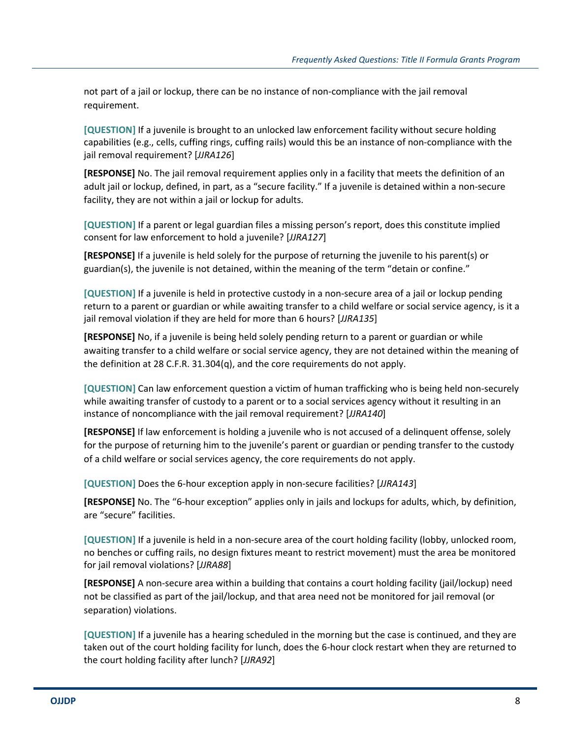not part of a jail or lockup, there can be no instance of non-compliance with the jail removal requirement.

**[QUESTION]** If a juvenile is brought to an unlocked law enforcement facility without secure holding capabilities (e.g., cells, cuffing rings, cuffing rails) would this be an instance of non-compliance with the jail removal requirement? [*JJRA126*]

**[RESPONSE]** No. The jail removal requirement applies only in a facility that meets the definition of an adult jail or lockup, defined, in part, as a "secure facility." If a juvenile is detained within a non-secure facility, they are not within a jail or lockup for adults.

**[QUESTION]** If a parent or legal guardian files a missing person's report, does this constitute implied consent for law enforcement to hold a juvenile? [*JJRA127*]

**[RESPONSE]** If a juvenile is held solely for the purpose of returning the juvenile to his parent(s) or guardian(s), the juvenile is not detained, within the meaning of the term "detain or confine."

**[QUESTION]** If a juvenile is held in protective custody in a non-secure area of a jail or lockup pending return to a parent or guardian or while awaiting transfer to a child welfare or social service agency, is it a jail removal violation if they are held for more than 6 hours? [*JJRA135*]

**[RESPONSE]** No, if a juvenile is being held solely pending return to a parent or guardian or while awaiting transfer to a child welfare or social service agency, they are not detained within the meaning of the definition at 28 C.F.R. 31.304(q), and the core requirements do not apply.

**[QUESTION]** Can law enforcement question a victim of human trafficking who is being held non-securely while awaiting transfer of custody to a parent or to a social services agency without it resulting in an instance of noncompliance with the jail removal requirement? [*JJRA140*]

**[RESPONSE]** If law enforcement is holding a juvenile who is not accused of a delinquent offense, solely for the purpose of returning him to the juvenile's parent or guardian or pending transfer to the custody of a child welfare or social services agency, the core requirements do not apply.

**[QUESTION]** Does the 6-hour exception apply in non-secure facilities? [*JJRA143*]

**[RESPONSE]** No. The "6-hour exception" applies only in jails and lockups for adults, which, by definition, are "secure" facilities.

**[QUESTION]** If a juvenile is held in a non-secure area of the court holding facility (lobby, unlocked room, no benches or cuffing rails, no design fixtures meant to restrict movement) must the area be monitored for jail removal violations? [*JJRA88*]

**[RESPONSE]** A non-secure area within a building that contains a court holding facility (jail/lockup) need not be classified as part of the jail/lockup, and that area need not be monitored for jail removal (or separation) violations.

**[QUESTION]** If a juvenile has a hearing scheduled in the morning but the case is continued, and they are taken out of the court holding facility for lunch, does the 6-hour clock restart when they are returned to the court holding facility after lunch? [*JJRA92*]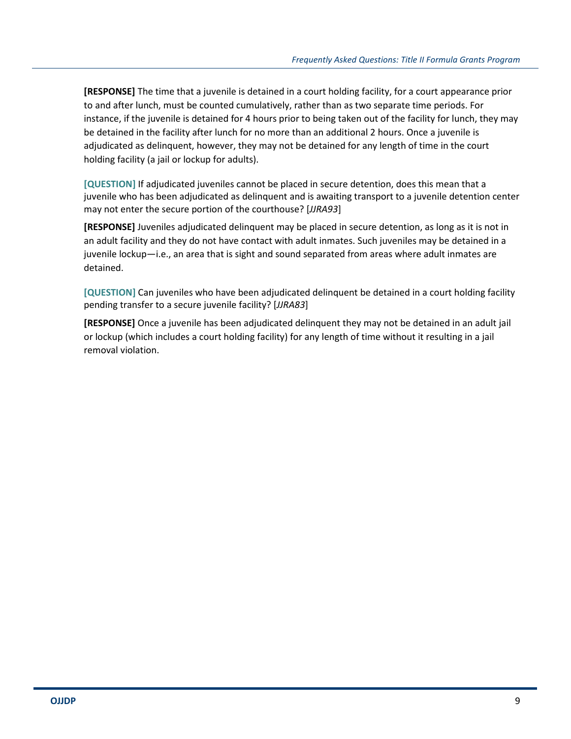**[RESPONSE]** The time that a juvenile is detained in a court holding facility, for a court appearance prior to and after lunch, must be counted cumulatively, rather than as two separate time periods. For instance, if the juvenile is detained for 4 hours prior to being taken out of the facility for lunch, they may be detained in the facility after lunch for no more than an additional 2 hours. Once a juvenile is adjudicated as delinquent, however, they may not be detained for any length of time in the court holding facility (a jail or lockup for adults).

**[QUESTION]** If adjudicated juveniles cannot be placed in secure detention, does this mean that a juvenile who has been adjudicated as delinquent and is awaiting transport to a juvenile detention center may not enter the secure portion of the courthouse? [*JJRA93*]

**[RESPONSE]** Juveniles adjudicated delinquent may be placed in secure detention, as long as it is not in an adult facility and they do not have contact with adult inmates. Such juveniles may be detained in a juvenile lockup—i.e., an area that is sight and sound separated from areas where adult inmates are detained.

**[QUESTION]** Can juveniles who have been adjudicated delinquent be detained in a court holding facility pending transfer to a secure juvenile facility? [*JJRA83*]

**[RESPONSE]** Once a juvenile has been adjudicated delinquent they may not be detained in an adult jail or lockup (which includes a court holding facility) for any length of time without it resulting in a jail removal violation.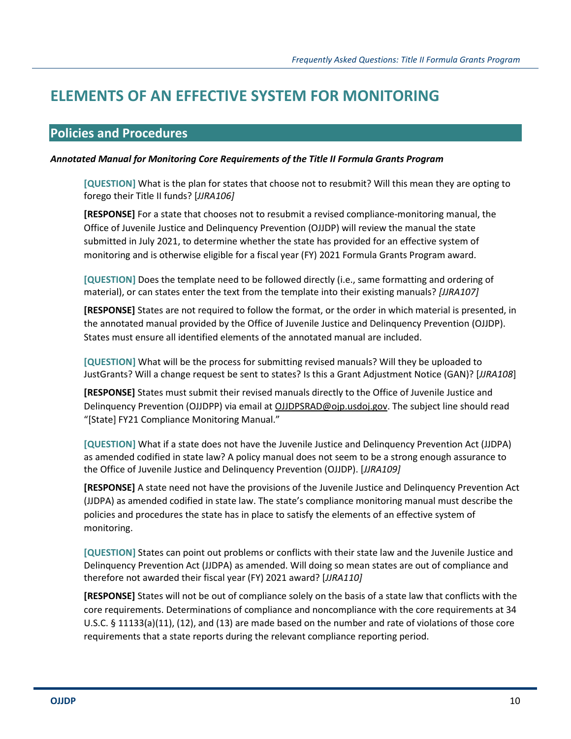### **ELEMENTS OF AN EFFECTIVE SYSTEM FOR MONITORING**

#### **Policies and Procedures**

#### *Annotated Manual for Monitoring Core Requirements of the Title II Formula Grants Program*

**[QUESTION]** What is the plan for states that choose not to resubmit? Will this mean they are opting to forego their Title II funds? [*JJRA106]*

**[RESPONSE]** For a state that chooses not to resubmit a revised compliance-monitoring manual, the Office of Juvenile Justice and Delinquency Prevention (OJJDP) will review the manual the state submitted in July 2021, to determine whether the state has provided for an effective system of monitoring and is otherwise eligible for a fiscal year (FY) 2021 Formula Grants Program award.

**[QUESTION]** Does the template need to be followed directly (i.e., same formatting and ordering of material), or can states enter the text from the template into their existing manuals? *[JJRA107]*

**[RESPONSE]** States are not required to follow the format, or the order in which material is presented, in the annotated manual provided by the Office of Juvenile Justice and Delinquency Prevention (OJJDP). States must ensure all identified elements of the annotated manual are included.

**[QUESTION]** What will be the process for submitting revised manuals? Will they be uploaded to JustGrants? Will a change request be sent to states? Is this a Grant Adjustment Notice (GAN)? [*JJRA108*]

**[RESPONSE]** States must submit their revised manuals directly to the Office of Juvenile Justice and Delinquency Prevention (OJJDPP) via email at OJJDPSRAD@ojp.usdoj.gov. The subject line should read "[State] FY21 Compliance Monitoring Manual."

**[QUESTION]** What if a state does not have the Juvenile Justice and Delinquency Prevention Act (JJDPA) as amended codified in state law? A policy manual does not seem to be a strong enough assurance to the Office of Juvenile Justice and Delinquency Prevention (OJJDP). [*JJRA109]*

**[RESPONSE]** A state need not have the provisions of the Juvenile Justice and Delinquency Prevention Act (JJDPA) as amended codified in state law. The state's compliance monitoring manual must describe the policies and procedures the state has in place to satisfy the elements of an effective system of monitoring.

**[QUESTION]** States can point out problems or conflicts with their state law and the Juvenile Justice and Delinquency Prevention Act (JJDPA) as amended. Will doing so mean states are out of compliance and therefore not awarded their fiscal year (FY) 2021 award? [*JJRA110]*

**[RESPONSE]** States will not be out of compliance solely on the basis of a state law that conflicts with the core requirements. Determinations of compliance and noncompliance with the core requirements at 34 U.S.C. § 11133(a)(11), (12), and (13) are made based on the number and rate of violations of those core requirements that a state reports during the relevant compliance reporting period.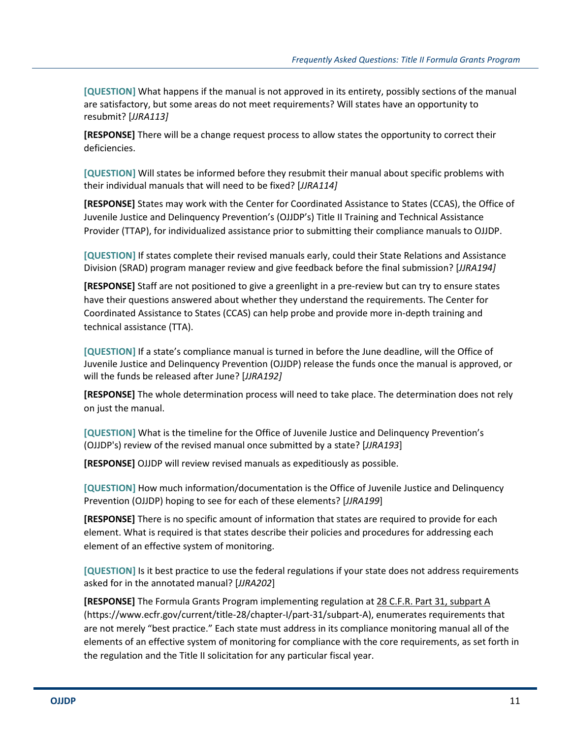**[QUESTION]** What happens if the manual is not approved in its entirety, possibly sections of the manual are satisfactory, but some areas do not meet requirements? Will states have an opportunity to resubmit? [*JJRA113]*

**[RESPONSE]** There will be a change request process to allow states the opportunity to correct their deficiencies.

**[QUESTION]** Will states be informed before they resubmit their manual about specific problems with their individual manuals that will need to be fixed? [*JJRA114]*

**[RESPONSE]** States may work with the Center for Coordinated Assistance to States (CCAS), the Office of Juvenile Justice and Delinquency Prevention's (OJJDP's) Title II Training and Technical Assistance Provider (TTAP), for individualized assistance prior to submitting their compliance manuals to OJJDP.

**[QUESTION]** If states complete their revised manuals early, could their State Relations and Assistance Division (SRAD) program manager review and give feedback before the final submission? [*JJRA194]*

**[RESPONSE]** Staff are not positioned to give a greenlight in a pre-review but can try to ensure states have their questions answered about whether they understand the requirements. The Center for Coordinated Assistance to States (CCAS) can help probe and provide more in-depth training and technical assistance (TTA).

**[QUESTION]** If a state's compliance manual is turned in before the June deadline, will the Office of Juvenile Justice and Delinquency Prevention (OJJDP) release the funds once the manual is approved, or will the funds be released after June? [*JJRA192]*

**[RESPONSE]** The whole determination process will need to take place. The determination does not rely on just the manual.

**[QUESTION]** What is the timeline for the Office of Juvenile Justice and Delinquency Prevention's (OJJDP's) review of the revised manual once submitted by a state? [*JJRA193*]

**[RESPONSE]** OJJDP will review revised manuals as expeditiously as possible.

**[QUESTION]** How much information/documentation is the Office of Juvenile Justice and Delinquency Prevention (OJJDP) hoping to see for each of these elements? [*JJRA199*]

**[RESPONSE]** There is no specific amount of information that states are required to provide for each element. What is required is that states describe their policies and procedures for addressing each element of an effective system of monitoring.

**[QUESTION]** Is it best practice to use the federal regulations if your state does not address requirements asked for in the annotated manual? [*JJRA202*]

**[RESPONSE]** The Formula Grants Program implementing regulation at 28 C.F.R. Part 31, subpart A (https://www.ecfr.gov/current/title-28/chapter-I/part-31/subpart-A), enumerates requirements that are not merely "best practice." Each state must address in its compliance monitoring manual all of the elements of an effective system of monitoring for compliance with the core requirements, as set forth in the regulation and the Title II solicitation for any particular fiscal year.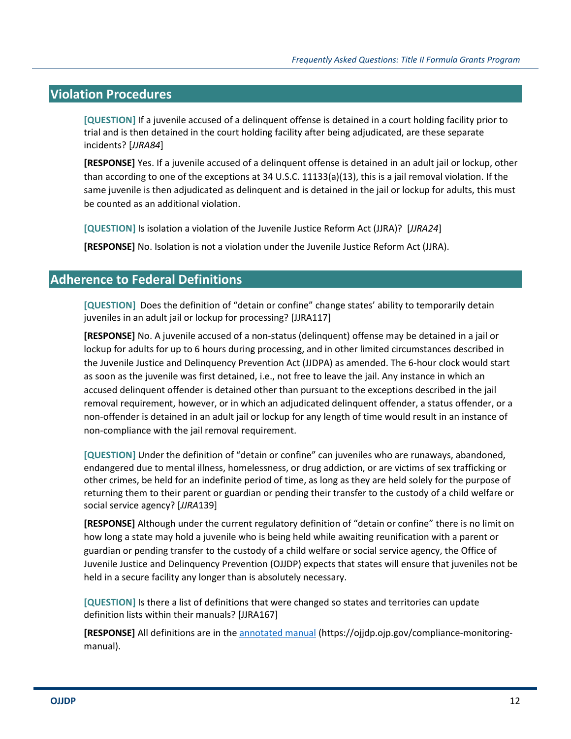#### **Violation Procedures**

**[QUESTION]** If a juvenile accused of a delinquent offense is detained in a court holding facility prior to trial and is then detained in the court holding facility after being adjudicated, are these separate incidents? [*JJRA84*]

**[RESPONSE]** Yes. If a juvenile accused of a delinquent offense is detained in an adult jail or lockup, other than according to one of the exceptions at 34 U.S.C. 11133(a)(13), this is a jail removal violation. If the same juvenile is then adjudicated as delinquent and is detained in the jail or lockup for adults, this must be counted as an additional violation.

**[QUESTION]** Is isolation a violation of the Juvenile Justice Reform Act (JJRA)? [*JJRA24*]

**[RESPONSE]** No. Isolation is not a violation under the Juvenile Justice Reform Act (JJRA).

#### **Adherence to Federal Definitions**

**[QUESTION]** Does the definition of "detain or confine" change states' ability to temporarily detain juveniles in an adult jail or lockup for processing? [JJRA117]

**[RESPONSE]** No. A juvenile accused of a non-status (delinquent) offense may be detained in a jail or lockup for adults for up to 6 hours during processing, and in other limited circumstances described in the Juvenile Justice and Delinquency Prevention Act (JJDPA) as amended. The 6-hour clock would start as soon as the juvenile was first detained, i.e., not free to leave the jail. Any instance in which an accused delinquent offender is detained other than pursuant to the exceptions described in the jail removal requirement, however, or in which an adjudicated delinquent offender, a status offender, or a non-offender is detained in an adult jail or lockup for any length of time would result in an instance of non-compliance with the jail removal requirement.

**[QUESTION]** Under the definition of "detain or confine" can juveniles who are runaways, abandoned, endangered due to mental illness, homelessness, or drug addiction, or are victims of sex trafficking or other crimes, be held for an indefinite period of time, as long as they are held solely for the purpose of returning them to their parent or guardian or pending their transfer to the custody of a child welfare or social service agency? [*JJRA*139]

**[RESPONSE]** Although under the current regulatory definition of "detain or confine" there is no limit on how long a state may hold a juvenile who is being held while awaiting reunification with a parent or guardian or pending transfer to the custody of a child welfare or social service agency, the Office of Juvenile Justice and Delinquency Prevention (OJJDP) expects that states will ensure that juveniles not be held in a secure facility any longer than is absolutely necessary.

**[QUESTION]** Is there a list of definitions that were changed so states and territories can update definition lists within their manuals? [JJRA167]

**[RESPONSE]** All definitions are in the annotated manual (https://ojjdp.ojp.gov/compliance-monitoringmanual).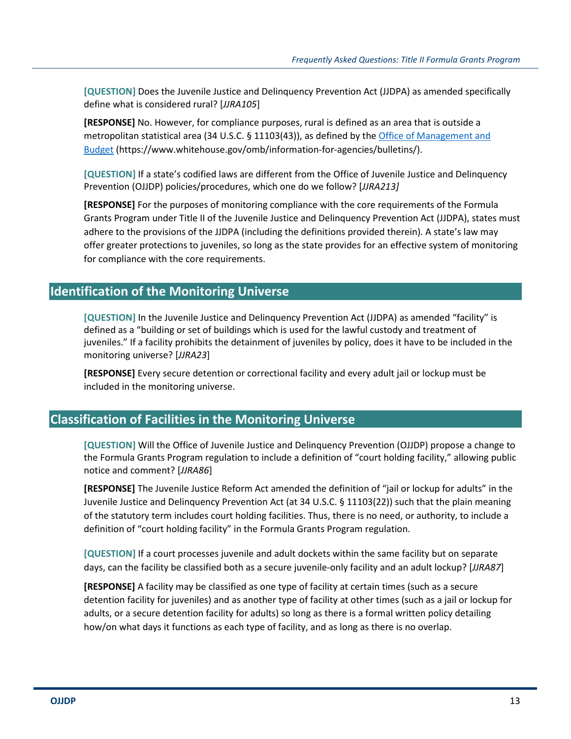**[QUESTION]** Does the Juvenile Justice and Delinquency Prevention Act (JJDPA) as amended specifically define what is considered rural? [*JJRA105*]

**[RESPONSE]** No. However, for compliance purposes, rural is defined as an area that is outside a metropolitan statistical area (34 U.S.C. § 11103(43)), as defined by the Office of Management and Budget (https://www.whitehouse.gov/omb/information-for-agencies/bulletins/).

**[QUESTION]** If a state's codified laws are different from the Office of Juvenile Justice and Delinquency Prevention (OJJDP) policies/procedures, which one do we follow? [*JJRA213]*

**[RESPONSE]** For the purposes of monitoring compliance with the core requirements of the Formula Grants Program under Title II of the Juvenile Justice and Delinquency Prevention Act (JJDPA), states must adhere to the provisions of the JJDPA (including the definitions provided therein). A state's law may offer greater protections to juveniles, so long as the state provides for an effective system of monitoring for compliance with the core requirements.

#### **Identification of the Monitoring Universe**

**[QUESTION]** In the Juvenile Justice and Delinquency Prevention Act (JJDPA) as amended "facility" is defined as a "building or set of buildings which is used for the lawful custody and treatment of juveniles." If a facility prohibits the detainment of juveniles by policy, does it have to be included in the monitoring universe? [*JJRA23*]

**[RESPONSE]** Every secure detention or correctional facility and every adult jail or lockup must be included in the monitoring universe.

#### **Classification of Facilities in the Monitoring Universe**

**[QUESTION]** Will the Office of Juvenile Justice and Delinquency Prevention (OJJDP) propose a change to the Formula Grants Program regulation to include a definition of "court holding facility," allowing public notice and comment? [*JJRA86*]

**[RESPONSE]** The Juvenile Justice Reform Act amended the definition of "jail or lockup for adults" in the Juvenile Justice and Delinquency Prevention Act (at 34 U.S.C. § 11103(22)) such that the plain meaning of the statutory term includes court holding facilities. Thus, there is no need, or authority, to include a definition of "court holding facility" in the Formula Grants Program regulation.

**[QUESTION]** If a court processes juvenile and adult dockets within the same facility but on separate days, can the facility be classified both as a secure juvenile-only facility and an adult lockup? [*JJRA87*]

**[RESPONSE]** A facility may be classified as one type of facility at certain times (such as a secure detention facility for juveniles) and as another type of facility at other times (such as a jail or lockup for adults, or a secure detention facility for adults) so long as there is a formal written policy detailing how/on what days it functions as each type of facility, and as long as there is no overlap.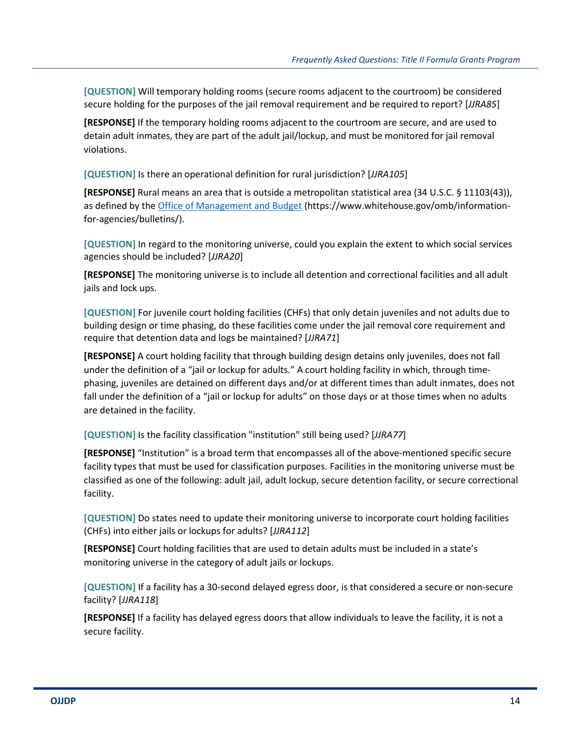**[QUESTION]** Will temporary holding rooms (secure rooms adjacent to the courtroom) be considered secure holding for the purposes of the jail removal requirement and be required to report? [*JJRA85*]

**[RESPONSE]** If the temporary holding rooms adjacent to the courtroom are secure, and are used to detain adult inmates, they are part of the adult jail/lockup, and must be monitored for jail removal violations.

**[QUESTION]** Is there an operational definition for rural jurisdiction? [*JJRA105*]

**[RESPONSE]** Rural means an area that is outside a metropolitan statistical area (34 U.S.C. § 11103(43)), as defined by the Office of Management and Budget (https://www.whitehouse.gov/omb/informationfor-agencies/bulletins/).

**[QUESTION]** In regard to the monitoring universe, could you explain the extent to which social services agencies should be included? [*JJRA20*]

**[RESPONSE]** The monitoring universe is to include all detention and correctional facilities and all adult jails and lock ups.

**[QUESTION]** For juvenile court holding facilities (CHFs) that only detain juveniles and not adults due to building design or time phasing, do these facilities come under the jail removal core requirement and require that detention data and logs be maintained? [*JJRA71*]

**[RESPONSE]** A court holding facility that through building design detains only juveniles, does not fall under the definition of a "jail or lockup for adults." A court holding facility in which, through timephasing, juveniles are detained on different days and/or at different times than adult inmates, does not fall under the definition of a "jail or lockup for adults" on those days or at those times when no adults are detained in the facility.

**[QUESTION]** Is the facility classification "institution" still being used? [*JJRA77*]

**[RESPONSE]** "Institution" is a broad term that encompasses all of the above-mentioned specific secure facility types that must be used for classification purposes. Facilities in the monitoring universe must be classified as one of the following: adult jail, adult lockup, secure detention facility, or secure correctional facility.

**[QUESTION]** Do states need to update their monitoring universe to incorporate court holding facilities (CHFs) into either jails or lockups for adults? [*JJRA112*]

**[RESPONSE]** Court holding facilities that are used to detain adults must be included in a state's monitoring universe in the category of adult jails or lockups.

**[QUESTION]** If a facility has a 30-second delayed egress door, is that considered a secure or non-secure facility? [*JJRA118*]

**[RESPONSE]** If a facility has delayed egress doors that allow individuals to leave the facility, it is not a secure facility.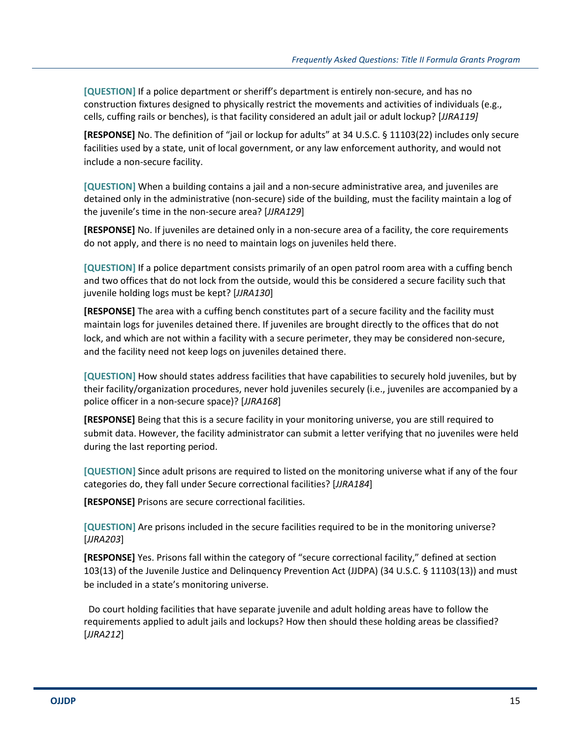**[QUESTION]** If a police department or sheriff's department is entirely non-secure, and has no construction fixtures designed to physically restrict the movements and activities of individuals (e.g., cells, cuffing rails or benches), is that facility considered an adult jail or adult lockup? [*JJRA119]*

**[RESPONSE]** No. The definition of "jail or lockup for adults" at 34 U.S.C. § 11103(22) includes only secure facilities used by a state, unit of local government, or any law enforcement authority, and would not include a non-secure facility.

**[QUESTION]** When a building contains a jail and a non-secure administrative area, and juveniles are detained only in the administrative (non-secure) side of the building, must the facility maintain a log of the juvenile's time in the non-secure area? [*JJRA129*]

**[RESPONSE]** No. If juveniles are detained only in a non-secure area of a facility, the core requirements do not apply, and there is no need to maintain logs on juveniles held there.

**[QUESTION]** If a police department consists primarily of an open patrol room area with a cuffing bench and two offices that do not lock from the outside, would this be considered a secure facility such that juvenile holding logs must be kept? [*JJRA130*]

**[RESPONSE]** The area with a cuffing bench constitutes part of a secure facility and the facility must maintain logs for juveniles detained there. If juveniles are brought directly to the offices that do not lock, and which are not within a facility with a secure perimeter, they may be considered non-secure, and the facility need not keep logs on juveniles detained there.

**[QUESTION]** How should states address facilities that have capabilities to securely hold juveniles, but by their facility/organization procedures, never hold juveniles securely (i.e., juveniles are accompanied by a police officer in a non-secure space)? [*JJRA168*]

**[RESPONSE]** Being that this is a secure facility in your monitoring universe, you are still required to submit data. However, the facility administrator can submit a letter verifying that no juveniles were held during the last reporting period.

**[QUESTION]** Since adult prisons are required to listed on the monitoring universe what if any of the four categories do, they fall under Secure correctional facilities? [*JJRA184*]

**[RESPONSE]** Prisons are secure correctional facilities.

**[QUESTION]** Are prisons included in the secure facilities required to be in the monitoring universe? [*JJRA203*]

**[RESPONSE]** Yes. Prisons fall within the category of "secure correctional facility," defined at section 103(13) of the Juvenile Justice and Delinquency Prevention Act (JJDPA) (34 U.S.C. § 11103(13)) and must be included in a state's monitoring universe.

Do court holding facilities that have separate juvenile and adult holding areas have to follow the requirements applied to adult jails and lockups? How then should these holding areas be classified? [*JJRA212*]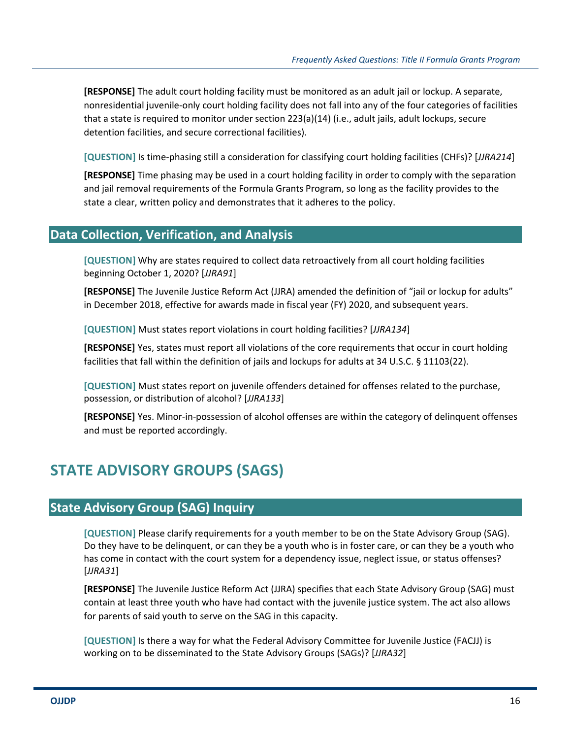**[RESPONSE]** The adult court holding facility must be monitored as an adult jail or lockup. A separate, nonresidential juvenile-only court holding facility does not fall into any of the four categories of facilities that a state is required to monitor under section 223(a)(14) (i.e., adult jails, adult lockups, secure detention facilities, and secure correctional facilities).

**[QUESTION]** Is time-phasing still a consideration for classifying court holding facilities (CHFs)? [*JJRA214*]

**[RESPONSE]** Time phasing may be used in a court holding facility in order to comply with the separation and jail removal requirements of the Formula Grants Program, so long as the facility provides to the state a clear, written policy and demonstrates that it adheres to the policy.

#### **Data Collection, Verification, and Analysis**

**[QUESTION]** Why are states required to collect data retroactively from all court holding facilities beginning October 1, 2020? [*JJRA91*]

**[RESPONSE]** The Juvenile Justice Reform Act (JJRA) amended the definition of "jail or lockup for adults" in December 2018, effective for awards made in fiscal year (FY) 2020, and subsequent years.

**[QUESTION]** Must states report violations in court holding facilities? [*JJRA134*]

**[RESPONSE]** Yes, states must report all violations of the core requirements that occur in court holding facilities that fall within the definition of jails and lockups for adults at 34 U.S.C. § 11103(22).

**[QUESTION]** Must states report on juvenile offenders detained for offenses related to the purchase, possession, or distribution of alcohol? [*JJRA133*]

**[RESPONSE]** Yes. Minor-in-possession of alcohol offenses are within the category of delinquent offenses and must be reported accordingly.

## **STATE ADVISORY GROUPS (SAGS)**

#### **State Advisory Group (SAG) Inquiry**

**[QUESTION]** Please clarify requirements for a youth member to be on the State Advisory Group (SAG). Do they have to be delinquent, or can they be a youth who is in foster care, or can they be a youth who has come in contact with the court system for a dependency issue, neglect issue, or status offenses? [*JJRA31*]

**[RESPONSE]** The Juvenile Justice Reform Act (JJRA) specifies that each State Advisory Group (SAG) must contain at least three youth who have had contact with the juvenile justice system. The act also allows for parents of said youth to serve on the SAG in this capacity.

**[QUESTION]** Is there a way for what the Federal Advisory Committee for Juvenile Justice (FACJJ) is working on to be disseminated to the State Advisory Groups (SAGs)? [*JJRA32*]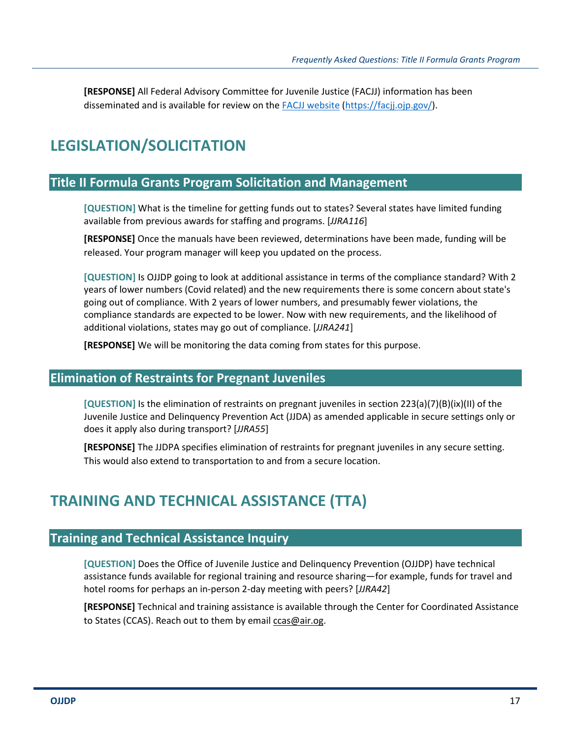**[RESPONSE]** All Federal Advisory Committee for Juvenile Justice (FACJJ) information has been disseminated and is available for review on the FACJJ website (https://facjj.ojp.gov/).

### **LEGISLATION/SOLICITATION**

#### **Title II Formula Grants Program Solicitation and Management**

**[QUESTION]** What is the timeline for getting funds out to states? Several states have limited funding available from previous awards for staffing and programs. [*JJRA116*]

**[RESPONSE]** Once the manuals have been reviewed, determinations have been made, funding will be released. Your program manager will keep you updated on the process.

**[QUESTION]** Is OJJDP going to look at additional assistance in terms of the compliance standard? With 2 years of lower numbers (Covid related) and the new requirements there is some concern about state's going out of compliance. With 2 years of lower numbers, and presumably fewer violations, the compliance standards are expected to be lower. Now with new requirements, and the likelihood of additional violations, states may go out of compliance. [*JJRA241*]

**[RESPONSE]** We will be monitoring the data coming from states for this purpose.

#### **Elimination of Restraints for Pregnant Juveniles**

**[QUESTION]** Is the elimination of restraints on pregnant juveniles in section 223(a)(7)(B)(ix)(II) of the Juvenile Justice and Delinquency Prevention Act (JJDA) as amended applicable in secure settings only or does it apply also during transport? [*JJRA55*]

**[RESPONSE]** The JJDPA specifies elimination of restraints for pregnant juveniles in any secure setting. This would also extend to transportation to and from a secure location.

### **TRAINING AND TECHNICAL ASSISTANCE (TTA)**

#### **Training and Technical Assistance Inquiry**

**[QUESTION]** Does the Office of Juvenile Justice and Delinquency Prevention (OJJDP) have technical assistance funds available for regional training and resource sharing—for example, funds for travel and hotel rooms for perhaps an in-person 2-day meeting with peers? [*JJRA42*]

**[RESPONSE]** Technical and training assistance is available through the Center for Coordinated Assistance to States (CCAS). Reach out to them by email ccas@air.og.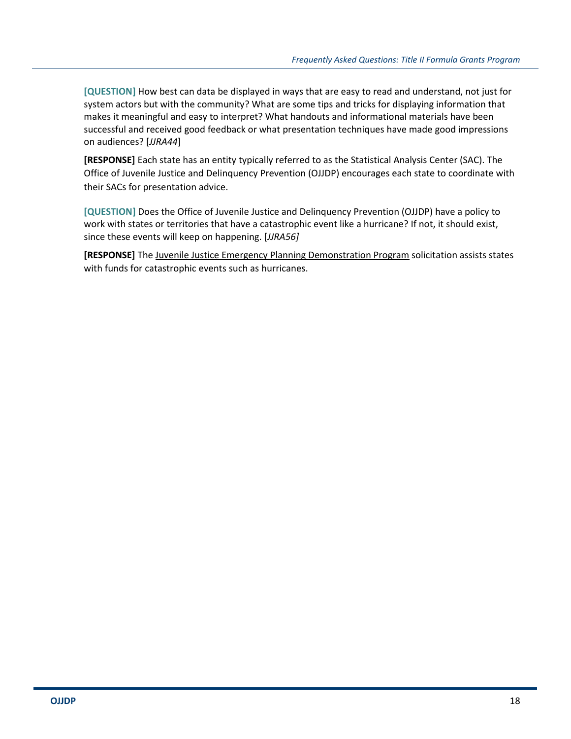**[QUESTION]** How best can data be displayed in ways that are easy to read and understand, not just for system actors but with the community? What are some tips and tricks for displaying information that makes it meaningful and easy to interpret? What handouts and informational materials have been successful and received good feedback or what presentation techniques have made good impressions on audiences? [*JJRA44*]

**[RESPONSE]** Each state has an entity typically referred to as the Statistical Analysis Center (SAC). The Office of Juvenile Justice and Delinquency Prevention (OJJDP) encourages each state to coordinate with their SACs for presentation advice.

**[QUESTION]** Does the Office of Juvenile Justice and Delinquency Prevention (OJJDP) have a policy to work with states or territories that have a catastrophic event like a hurricane? If not, it should exist, since these events will keep on happening. [*JJRA56]*

**[RESPONSE]** The Juvenile Justice Emergency Planning Demonstration Program solicitation assists states with funds for catastrophic events such as hurricanes.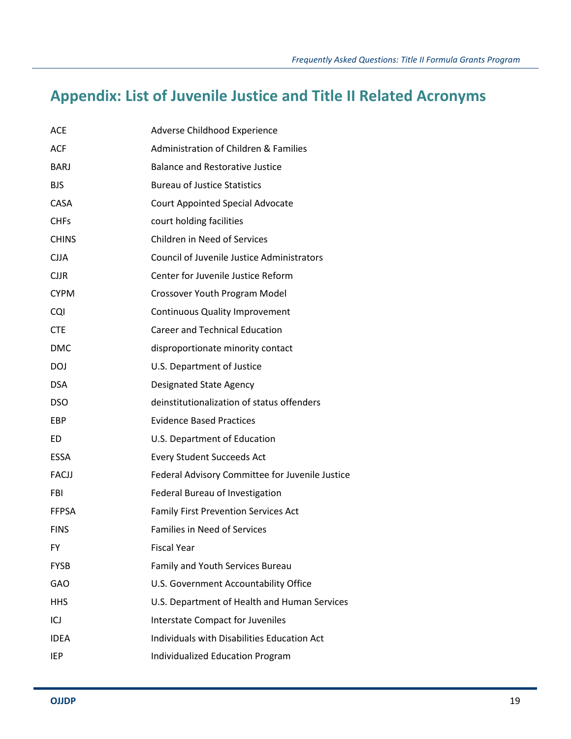# **Appendix: List of Juvenile Justice and Title II Related Acronyms**

| <b>ACE</b>   | Adverse Childhood Experience                      |
|--------------|---------------------------------------------------|
| <b>ACF</b>   | Administration of Children & Families             |
| <b>BARJ</b>  | <b>Balance and Restorative Justice</b>            |
| <b>BJS</b>   | <b>Bureau of Justice Statistics</b>               |
| <b>CASA</b>  | <b>Court Appointed Special Advocate</b>           |
| <b>CHFs</b>  | court holding facilities                          |
| <b>CHINS</b> | Children in Need of Services                      |
| <b>CJJA</b>  | <b>Council of Juvenile Justice Administrators</b> |
| <b>CJJR</b>  | Center for Juvenile Justice Reform                |
| <b>CYPM</b>  | Crossover Youth Program Model                     |
| <b>CQI</b>   | <b>Continuous Quality Improvement</b>             |
| <b>CTE</b>   | <b>Career and Technical Education</b>             |
| <b>DMC</b>   | disproportionate minority contact                 |
| <b>DOJ</b>   | U.S. Department of Justice                        |
| <b>DSA</b>   | Designated State Agency                           |
| <b>DSO</b>   | deinstitutionalization of status offenders        |
| <b>EBP</b>   | <b>Evidence Based Practices</b>                   |
| ED           | U.S. Department of Education                      |
| <b>ESSA</b>  | <b>Every Student Succeeds Act</b>                 |
| FACJJ        | Federal Advisory Committee for Juvenile Justice   |
| <b>FBI</b>   | Federal Bureau of Investigation                   |
| <b>FFPSA</b> | <b>Family First Prevention Services Act</b>       |
| <b>FINS</b>  | <b>Families in Need of Services</b>               |
| FY           | <b>Fiscal Year</b>                                |
| <b>FYSB</b>  | Family and Youth Services Bureau                  |
| <b>GAO</b>   | U.S. Government Accountability Office             |
| <b>HHS</b>   | U.S. Department of Health and Human Services      |
| ICJ          | Interstate Compact for Juveniles                  |
| <b>IDEA</b>  | Individuals with Disabilities Education Act       |
| <b>IEP</b>   | Individualized Education Program                  |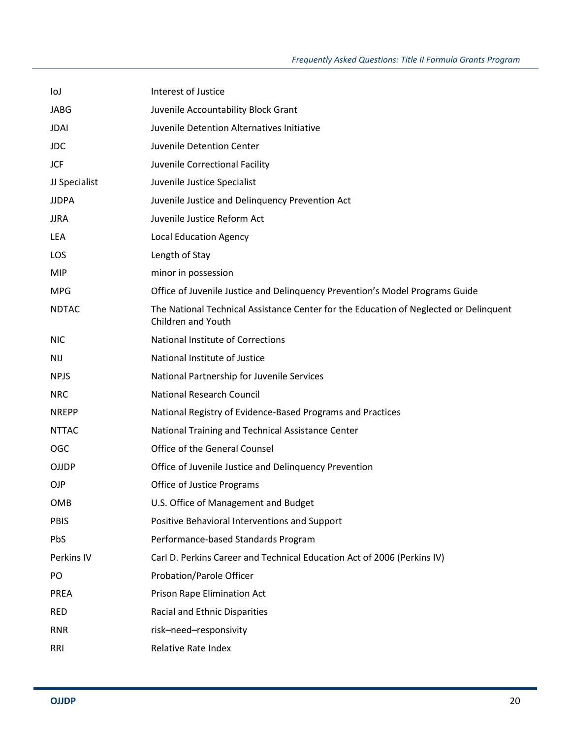| loJ           | Interest of Justice                                                                                                |
|---------------|--------------------------------------------------------------------------------------------------------------------|
| <b>JABG</b>   | Juvenile Accountability Block Grant                                                                                |
| <b>JDAI</b>   | Juvenile Detention Alternatives Initiative                                                                         |
| <b>JDC</b>    | Juvenile Detention Center                                                                                          |
| JCF           | Juvenile Correctional Facility                                                                                     |
| JJ Specialist | Juvenile Justice Specialist                                                                                        |
| <b>JJDPA</b>  | Juvenile Justice and Delinquency Prevention Act                                                                    |
| <b>JJRA</b>   | Juvenile Justice Reform Act                                                                                        |
| LEA           | <b>Local Education Agency</b>                                                                                      |
| LOS           | Length of Stay                                                                                                     |
| <b>MIP</b>    | minor in possession                                                                                                |
| <b>MPG</b>    | Office of Juvenile Justice and Delinquency Prevention's Model Programs Guide                                       |
| <b>NDTAC</b>  | The National Technical Assistance Center for the Education of Neglected or Delinquent<br><b>Children and Youth</b> |
| <b>NIC</b>    | National Institute of Corrections                                                                                  |
| NIJ           | National Institute of Justice                                                                                      |
| <b>NPJS</b>   | National Partnership for Juvenile Services                                                                         |
| <b>NRC</b>    | National Research Council                                                                                          |
| <b>NREPP</b>  | National Registry of Evidence-Based Programs and Practices                                                         |
| <b>NTTAC</b>  | National Training and Technical Assistance Center                                                                  |
| <b>OGC</b>    | Office of the General Counsel                                                                                      |
| OJJDP         | Office of Juvenile Justice and Delinquency Prevention                                                              |
| OJP           | <b>Office of Justice Programs</b>                                                                                  |
| <b>OMB</b>    | U.S. Office of Management and Budget                                                                               |
| <b>PBIS</b>   | Positive Behavioral Interventions and Support                                                                      |
| <b>PbS</b>    | Performance-based Standards Program                                                                                |
| Perkins IV    | Carl D. Perkins Career and Technical Education Act of 2006 (Perkins IV)                                            |
| PO            | Probation/Parole Officer                                                                                           |
| <b>PREA</b>   | Prison Rape Elimination Act                                                                                        |
| <b>RED</b>    | Racial and Ethnic Disparities                                                                                      |
| <b>RNR</b>    | risk-need-responsivity                                                                                             |
| RRI           | Relative Rate Index                                                                                                |